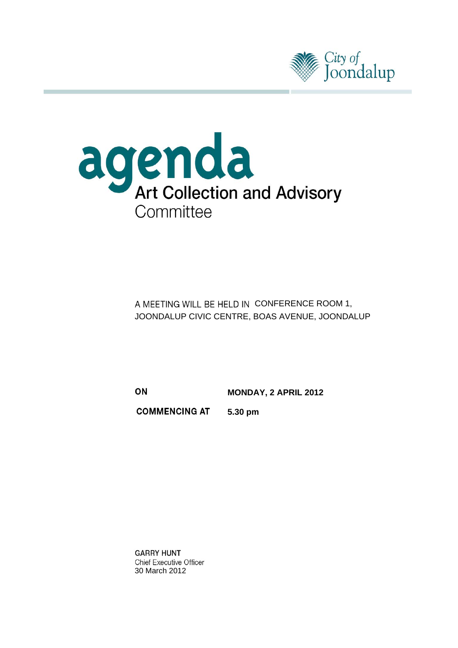



A MEETING WILL BE HELD IN CONFERENCE ROOM 1, JOONDALUP CIVIC CENTRE, BOAS AVENUE, JOONDALUP

 **MONDAY, 2 APRIL 2012** 

**COMMENCING AT 5.30 pm** 

**GARRY HUNT Chief Executive Officer** 30 March 2012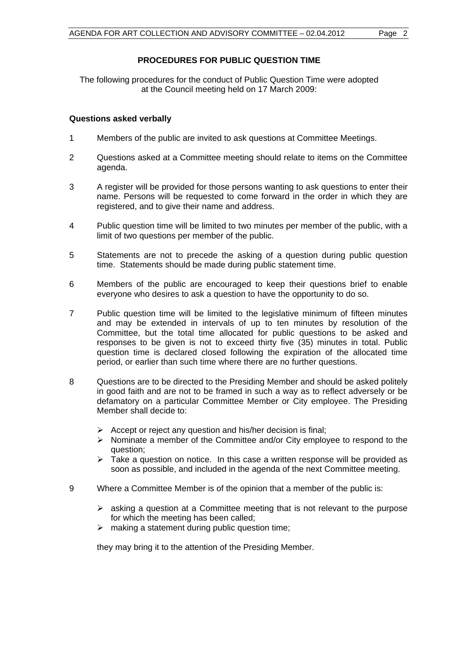#### **PROCEDURES FOR PUBLIC QUESTION TIME**

The following procedures for the conduct of Public Question Time were adopted at the Council meeting held on 17 March 2009:

#### **Questions asked verbally**

- 1 Members of the public are invited to ask questions at Committee Meetings.
- 2 Questions asked at a Committee meeting should relate to items on the Committee agenda.
- 3 A register will be provided for those persons wanting to ask questions to enter their name. Persons will be requested to come forward in the order in which they are registered, and to give their name and address.
- 4 Public question time will be limited to two minutes per member of the public, with a limit of two questions per member of the public.
- 5 Statements are not to precede the asking of a question during public question time. Statements should be made during public statement time.
- 6 Members of the public are encouraged to keep their questions brief to enable everyone who desires to ask a question to have the opportunity to do so.
- 7 Public question time will be limited to the legislative minimum of fifteen minutes and may be extended in intervals of up to ten minutes by resolution of the Committee, but the total time allocated for public questions to be asked and responses to be given is not to exceed thirty five (35) minutes in total. Public question time is declared closed following the expiration of the allocated time period, or earlier than such time where there are no further questions.
- 8 Questions are to be directed to the Presiding Member and should be asked politely in good faith and are not to be framed in such a way as to reflect adversely or be defamatory on a particular Committee Member or City employee. The Presiding Member shall decide to:
	- $\triangleright$  Accept or reject any question and his/her decision is final;
	- $\triangleright$  Nominate a member of the Committee and/or City employee to respond to the question;
	- $\geq$  Take a question on notice. In this case a written response will be provided as soon as possible, and included in the agenda of the next Committee meeting.
- 9 Where a Committee Member is of the opinion that a member of the public is:
	- $\triangleright$  asking a question at a Committee meeting that is not relevant to the purpose for which the meeting has been called;
	- $\triangleright$  making a statement during public question time:

they may bring it to the attention of the Presiding Member.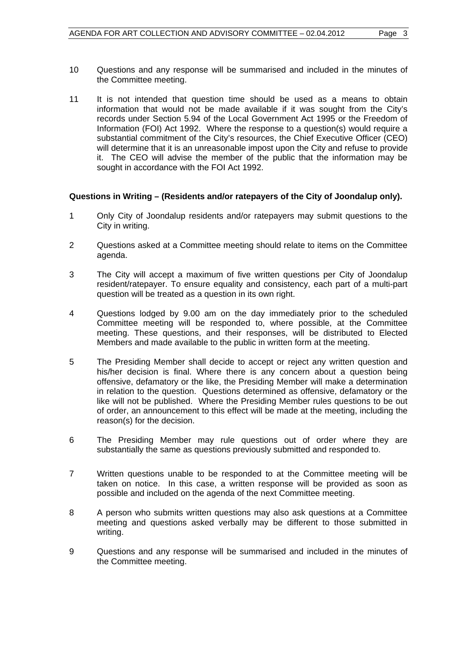11 It is not intended that question time should be used as a means to obtain information that would not be made available if it was sought from the City's records under Section 5.94 of the Local Government Act 1995 or the Freedom of Information (FOI) Act 1992. Where the response to a question(s) would require a substantial commitment of the City's resources, the Chief Executive Officer (CEO) will determine that it is an unreasonable impost upon the City and refuse to provide it. The CEO will advise the member of the public that the information may be sought in accordance with the FOI Act 1992.

#### **Questions in Writing – (Residents and/or ratepayers of the City of Joondalup only).**

- 1 Only City of Joondalup residents and/or ratepayers may submit questions to the City in writing.
- 2 Questions asked at a Committee meeting should relate to items on the Committee agenda.
- 3 The City will accept a maximum of five written questions per City of Joondalup resident/ratepayer. To ensure equality and consistency, each part of a multi-part question will be treated as a question in its own right.
- 4 Questions lodged by 9.00 am on the day immediately prior to the scheduled Committee meeting will be responded to, where possible, at the Committee meeting. These questions, and their responses, will be distributed to Elected Members and made available to the public in written form at the meeting.
- 5 The Presiding Member shall decide to accept or reject any written question and his/her decision is final. Where there is any concern about a question being offensive, defamatory or the like, the Presiding Member will make a determination in relation to the question. Questions determined as offensive, defamatory or the like will not be published. Where the Presiding Member rules questions to be out of order, an announcement to this effect will be made at the meeting, including the reason(s) for the decision.
- 6 The Presiding Member may rule questions out of order where they are substantially the same as questions previously submitted and responded to.
- 7 Written questions unable to be responded to at the Committee meeting will be taken on notice. In this case, a written response will be provided as soon as possible and included on the agenda of the next Committee meeting.
- 8 A person who submits written questions may also ask questions at a Committee meeting and questions asked verbally may be different to those submitted in writing.
- 9 Questions and any response will be summarised and included in the minutes of the Committee meeting.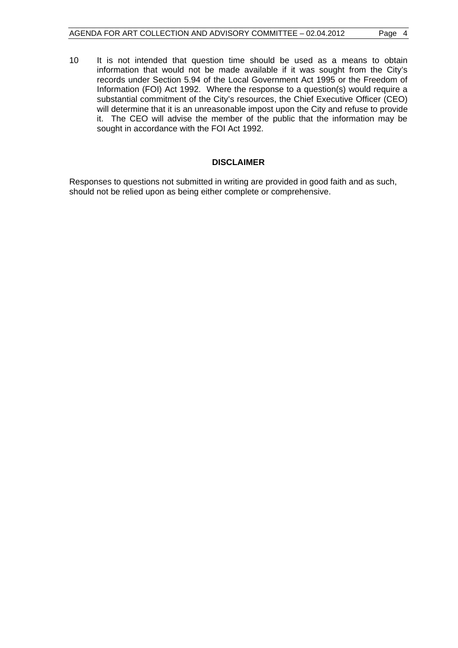10 It is not intended that question time should be used as a means to obtain information that would not be made available if it was sought from the City's records under Section 5.94 of the Local Government Act 1995 or the Freedom of Information (FOI) Act 1992. Where the response to a question(s) would require a substantial commitment of the City's resources, the Chief Executive Officer (CEO) will determine that it is an unreasonable impost upon the City and refuse to provide it. The CEO will advise the member of the public that the information may be sought in accordance with the FOI Act 1992.

#### **DISCLAIMER**

Responses to questions not submitted in writing are provided in good faith and as such, should not be relied upon as being either complete or comprehensive.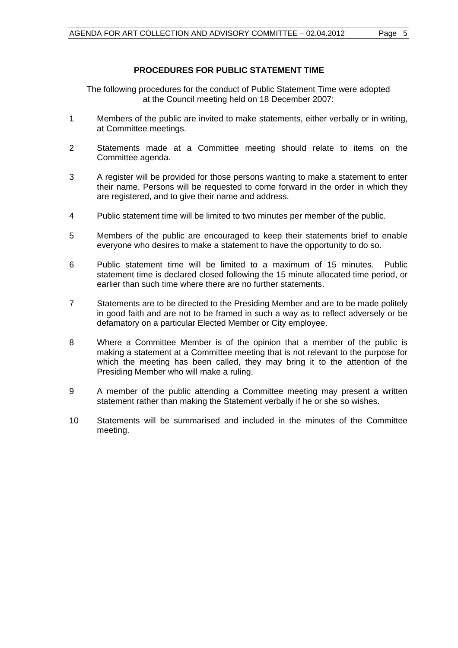#### **PROCEDURES FOR PUBLIC STATEMENT TIME**

The following procedures for the conduct of Public Statement Time were adopted at the Council meeting held on 18 December 2007:

- 1 Members of the public are invited to make statements, either verbally or in writing, at Committee meetings.
- 2 Statements made at a Committee meeting should relate to items on the Committee agenda.
- 3 A register will be provided for those persons wanting to make a statement to enter their name. Persons will be requested to come forward in the order in which they are registered, and to give their name and address.
- 4 Public statement time will be limited to two minutes per member of the public.
- 5 Members of the public are encouraged to keep their statements brief to enable everyone who desires to make a statement to have the opportunity to do so.
- 6 Public statement time will be limited to a maximum of 15 minutes. Public statement time is declared closed following the 15 minute allocated time period, or earlier than such time where there are no further statements.
- 7 Statements are to be directed to the Presiding Member and are to be made politely in good faith and are not to be framed in such a way as to reflect adversely or be defamatory on a particular Elected Member or City employee.
- 8 Where a Committee Member is of the opinion that a member of the public is making a statement at a Committee meeting that is not relevant to the purpose for which the meeting has been called, they may bring it to the attention of the Presiding Member who will make a ruling.
- 9 A member of the public attending a Committee meeting may present a written statement rather than making the Statement verbally if he or she so wishes.
- 10 Statements will be summarised and included in the minutes of the Committee meeting.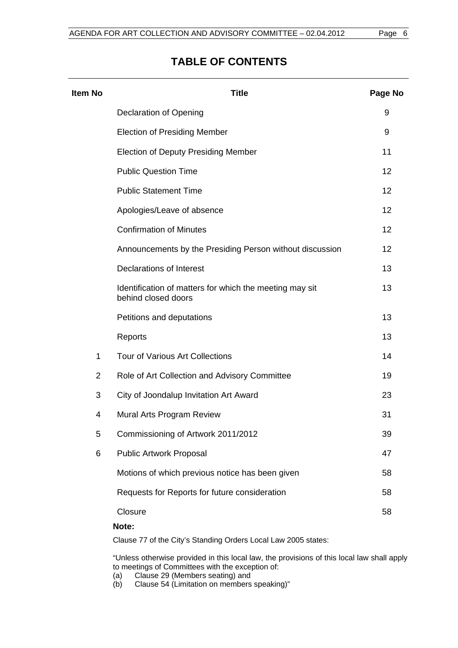## **TABLE OF CONTENTS**

| <b>Item No</b> | <b>Title</b>                                                                   | Page No |
|----------------|--------------------------------------------------------------------------------|---------|
|                | <b>Declaration of Opening</b>                                                  | 9       |
|                | <b>Election of Presiding Member</b>                                            | 9       |
|                | <b>Election of Deputy Presiding Member</b>                                     | 11      |
|                | <b>Public Question Time</b>                                                    | 12      |
|                | <b>Public Statement Time</b>                                                   | 12      |
|                | Apologies/Leave of absence                                                     | 12      |
|                | <b>Confirmation of Minutes</b>                                                 | 12      |
|                | Announcements by the Presiding Person without discussion                       | 12      |
|                | <b>Declarations of Interest</b>                                                | 13      |
|                | Identification of matters for which the meeting may sit<br>behind closed doors | 13      |
|                | Petitions and deputations                                                      | 13      |
|                | Reports                                                                        | 13      |
| $\mathbf{1}$   | <b>Tour of Various Art Collections</b>                                         | 14      |
| $\overline{2}$ | Role of Art Collection and Advisory Committee                                  | 19      |
| 3              | City of Joondalup Invitation Art Award                                         | 23      |
| 4              | Mural Arts Program Review                                                      | 31      |
| 5              | Commissioning of Artwork 2011/2012                                             | 39      |
| 6              | <b>Public Artwork Proposal</b>                                                 | 47      |
|                | Motions of which previous notice has been given                                | 58      |
|                | Requests for Reports for future consideration                                  | 58      |
|                | Closure<br>Note:                                                               | 58      |

Clause 77 of the City's Standing Orders Local Law 2005 states:

"Unless otherwise provided in this local law, the provisions of this local law shall apply to meetings of Committees with the exception of:

- (a) Clause 29 (Members seating) and
- (b) Clause 54 (Limitation on members speaking)"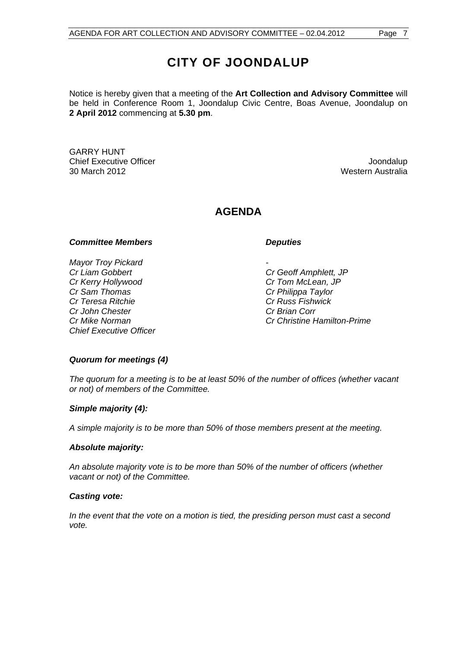# **CITY OF JOONDALUP**

Notice is hereby given that a meeting of the **Art Collection and Advisory Committee** will be held in Conference Room 1, Joondalup Civic Centre, Boas Avenue, Joondalup on **2 April 2012** commencing at **5.30 pm**.

GARRY HUNT Chief Executive Officer **Joondalup** 30 March 2012 Western Australia

## **AGENDA**

#### **Committee Members Committee Avenue Committee Avenue Committee Avenue Committee Avenue Committee Avenue Committee**

*Mayor Troy Pickard Cr Liam Gobbert Cr Geoff Amphlett, JP Cr Kerry Hollywood Cr Tom McLean, JP Cr Sam Thomas Cr Philippa Taylor Cr Teresa Ritchie Cr Russ Fishwick Cr John Chester Cr Brian Corr Chief Executive Officer* 

*Cr Mike Norman Cr Christine Hamilton-Prime* 

#### *Quorum for meetings (4)*

*The quorum for a meeting is to be at least 50% of the number of offices (whether vacant or not) of members of the Committee.* 

#### *Simple majority (4):*

*A simple majority is to be more than 50% of those members present at the meeting.* 

#### *Absolute majority:*

*An absolute majority vote is to be more than 50% of the number of officers (whether vacant or not) of the Committee.* 

#### *Casting vote:*

*In the event that the vote on a motion is tied, the presiding person must cast a second vote.*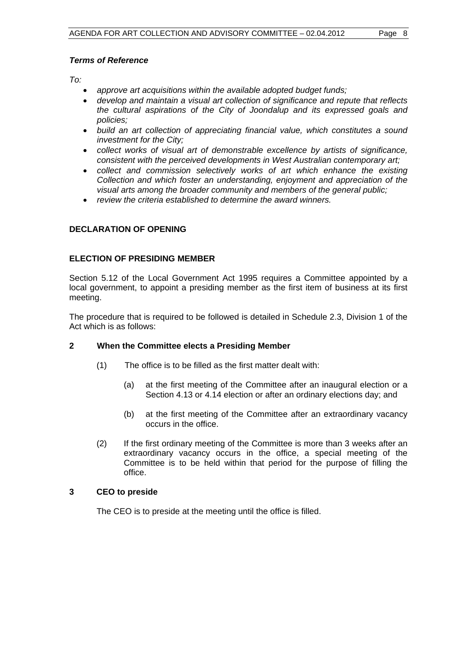#### *Terms of Reference*

*To:* 

- *approve art acquisitions within the available adopted budget funds;*
- *develop and maintain a visual art collection of significance and repute that reflects the cultural aspirations of the City of Joondalup and its expressed goals and policies;*
- *build an art collection of appreciating financial value, which constitutes a sound investment for the City;*
- *collect works of visual art of demonstrable excellence by artists of significance, consistent with the perceived developments in West Australian contemporary art;*
- *collect and commission selectively works of art which enhance the existing Collection and which foster an understanding, enjoyment and appreciation of the visual arts among the broader community and members of the general public;*
- *review the criteria established to determine the award winners.*

### **DECLARATION OF OPENING**

#### **ELECTION OF PRESIDING MEMBER**

Section 5.12 of the Local Government Act 1995 requires a Committee appointed by a local government, to appoint a presiding member as the first item of business at its first meeting.

The procedure that is required to be followed is detailed in Schedule 2.3, Division 1 of the Act which is as follows:

#### **2 When the Committee elects a Presiding Member**

- (1) The office is to be filled as the first matter dealt with:
	- (a) at the first meeting of the Committee after an inaugural election or a Section 4.13 or 4.14 election or after an ordinary elections day; and
	- (b) at the first meeting of the Committee after an extraordinary vacancy occurs in the office.
- (2) If the first ordinary meeting of the Committee is more than 3 weeks after an extraordinary vacancy occurs in the office, a special meeting of the Committee is to be held within that period for the purpose of filling the office.

#### **3 CEO to preside**

The CEO is to preside at the meeting until the office is filled.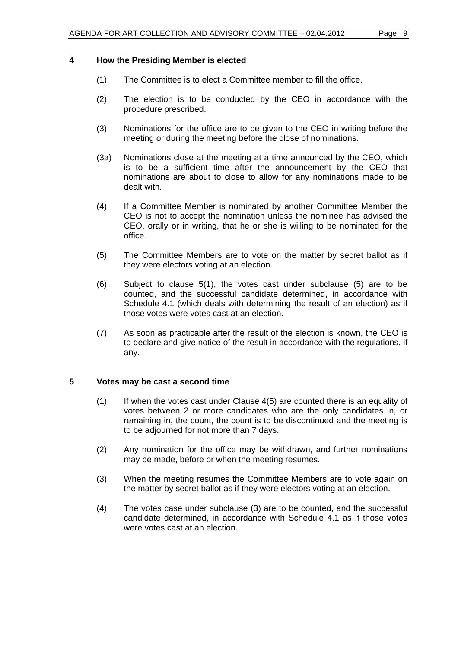#### **4 How the Presiding Member is elected**

- (1) The Committee is to elect a Committee member to fill the office.
- (2) The election is to be conducted by the CEO in accordance with the procedure prescribed.
- (3) Nominations for the office are to be given to the CEO in writing before the meeting or during the meeting before the close of nominations.
- (3a) Nominations close at the meeting at a time announced by the CEO, which is to be a sufficient time after the announcement by the CEO that nominations are about to close to allow for any nominations made to be dealt with.
- (4) If a Committee Member is nominated by another Committee Member the CEO is not to accept the nomination unless the nominee has advised the CEO, orally or in writing, that he or she is willing to be nominated for the office.
- (5) The Committee Members are to vote on the matter by secret ballot as if they were electors voting at an election.
- (6) Subject to clause 5(1), the votes cast under subclause (5) are to be counted, and the successful candidate determined, in accordance with Schedule 4.1 (which deals with determining the result of an election) as if those votes were votes cast at an election.
- (7) As soon as practicable after the result of the election is known, the CEO is to declare and give notice of the result in accordance with the regulations, if any.

#### **5 Votes may be cast a second time**

- (1) If when the votes cast under Clause 4(5) are counted there is an equality of votes between 2 or more candidates who are the only candidates in, or remaining in, the count, the count is to be discontinued and the meeting is to be adjourned for not more than 7 days.
- (2) Any nomination for the office may be withdrawn, and further nominations may be made, before or when the meeting resumes.
- (3) When the meeting resumes the Committee Members are to vote again on the matter by secret ballot as if they were electors voting at an election.
- (4) The votes case under subclause (3) are to be counted, and the successful candidate determined, in accordance with Schedule 4.1 as if those votes were votes cast at an election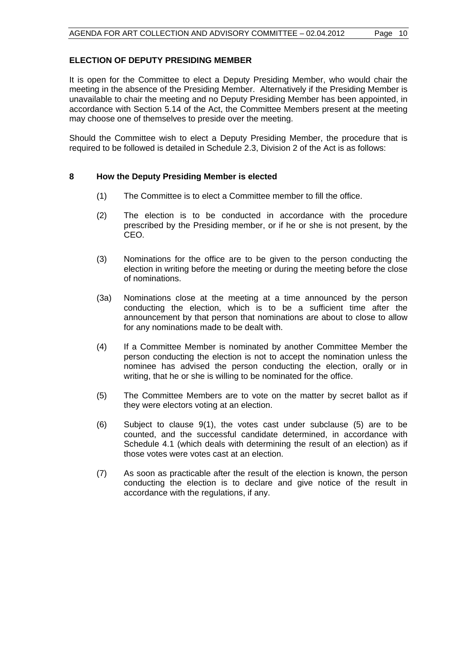#### **ELECTION OF DEPUTY PRESIDING MEMBER**

It is open for the Committee to elect a Deputy Presiding Member, who would chair the meeting in the absence of the Presiding Member. Alternatively if the Presiding Member is unavailable to chair the meeting and no Deputy Presiding Member has been appointed, in accordance with Section 5.14 of the Act, the Committee Members present at the meeting may choose one of themselves to preside over the meeting.

Should the Committee wish to elect a Deputy Presiding Member, the procedure that is required to be followed is detailed in Schedule 2.3, Division 2 of the Act is as follows:

#### **8 How the Deputy Presiding Member is elected**

- (1) The Committee is to elect a Committee member to fill the office.
- (2) The election is to be conducted in accordance with the procedure prescribed by the Presiding member, or if he or she is not present, by the CEO.
- (3) Nominations for the office are to be given to the person conducting the election in writing before the meeting or during the meeting before the close of nominations.
- (3a) Nominations close at the meeting at a time announced by the person conducting the election, which is to be a sufficient time after the announcement by that person that nominations are about to close to allow for any nominations made to be dealt with.
- (4) If a Committee Member is nominated by another Committee Member the person conducting the election is not to accept the nomination unless the nominee has advised the person conducting the election, orally or in writing, that he or she is willing to be nominated for the office.
- (5) The Committee Members are to vote on the matter by secret ballot as if they were electors voting at an election.
- (6) Subject to clause 9(1), the votes cast under subclause (5) are to be counted, and the successful candidate determined, in accordance with Schedule 4.1 (which deals with determining the result of an election) as if those votes were votes cast at an election.
- (7) As soon as practicable after the result of the election is known, the person conducting the election is to declare and give notice of the result in accordance with the regulations, if any.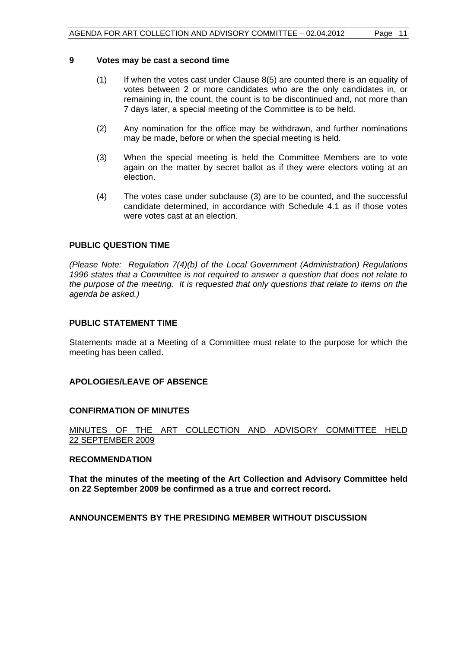#### **9 Votes may be cast a second time**

- (1) If when the votes cast under Clause 8(5) are counted there is an equality of votes between 2 or more candidates who are the only candidates in, or remaining in, the count, the count is to be discontinued and, not more than 7 days later, a special meeting of the Committee is to be held.
- (2) Any nomination for the office may be withdrawn, and further nominations may be made, before or when the special meeting is held.
- (3) When the special meeting is held the Committee Members are to vote again on the matter by secret ballot as if they were electors voting at an election.
- (4) The votes case under subclause (3) are to be counted, and the successful candidate determined, in accordance with Schedule 4.1 as if those votes were votes cast at an election.

#### **PUBLIC QUESTION TIME**

*(Please Note: Regulation 7(4)(b) of the Local Government (Administration) Regulations 1996 states that a Committee is not required to answer a question that does not relate to the purpose of the meeting. It is requested that only questions that relate to items on the agenda be asked.)*

#### **PUBLIC STATEMENT TIME**

Statements made at a Meeting of a Committee must relate to the purpose for which the meeting has been called.

#### **APOLOGIES/LEAVE OF ABSENCE**

#### **CONFIRMATION OF MINUTES**

#### MINUTES OF THE ART COLLECTION AND ADVISORY COMMITTEE HELD 22 SEPTEMBER 2009

#### **RECOMMENDATION**

**That the minutes of the meeting of the Art Collection and Advisory Committee held on 22 September 2009 be confirmed as a true and correct record.** 

**ANNOUNCEMENTS BY THE PRESIDING MEMBER WITHOUT DISCUSSION**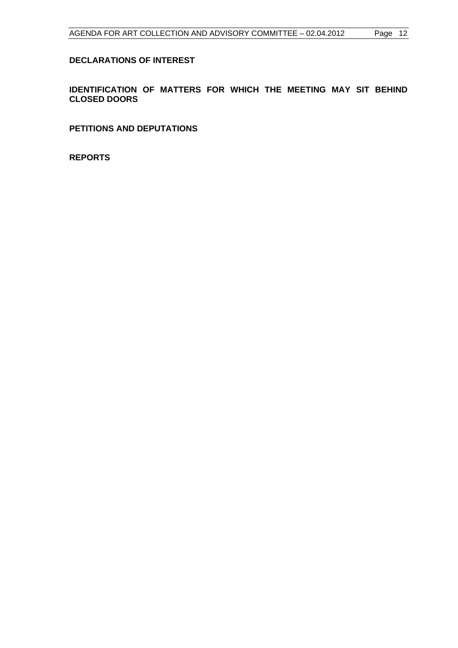#### **DECLARATIONS OF INTEREST**

**IDENTIFICATION OF MATTERS FOR WHICH THE MEETING MAY SIT BEHIND CLOSED DOORS** 

**PETITIONS AND DEPUTATIONS** 

**REPORTS**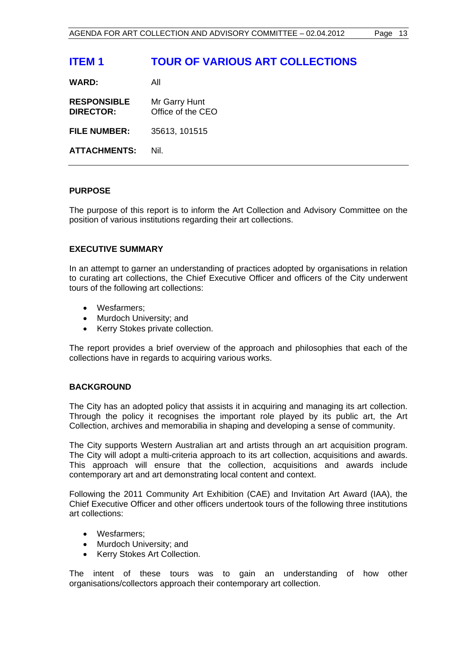## **ITEM 1 TOUR OF VARIOUS ART COLLECTIONS**

**WARD:** All

**RESPONSIBLE** Mr Garry Hunt **DIRECTOR:** Office of the CEO

**FILE NUMBER:** 35613, 101515

**ATTACHMENTS:** Nil.

#### **PURPOSE**

The purpose of this report is to inform the Art Collection and Advisory Committee on the position of various institutions regarding their art collections.

#### **EXECUTIVE SUMMARY**

In an attempt to garner an understanding of practices adopted by organisations in relation to curating art collections, the Chief Executive Officer and officers of the City underwent tours of the following art collections:

- Wesfarmers:
- Murdoch University; and
- Kerry Stokes private collection.

The report provides a brief overview of the approach and philosophies that each of the collections have in regards to acquiring various works.

#### **BACKGROUND**

The City has an adopted policy that assists it in acquiring and managing its art collection. Through the policy it recognises the important role played by its public art, the Art Collection, archives and memorabilia in shaping and developing a sense of community.

The City supports Western Australian art and artists through an art acquisition program. The City will adopt a multi-criteria approach to its art collection, acquisitions and awards. This approach will ensure that the collection, acquisitions and awards include contemporary art and art demonstrating local content and context.

Following the 2011 Community Art Exhibition (CAE) and Invitation Art Award (IAA), the Chief Executive Officer and other officers undertook tours of the following three institutions art collections:

- Wesfarmers;
- Murdoch University; and
- Kerry Stokes Art Collection.

The intent of these tours was to gain an understanding of how other organisations/collectors approach their contemporary art collection.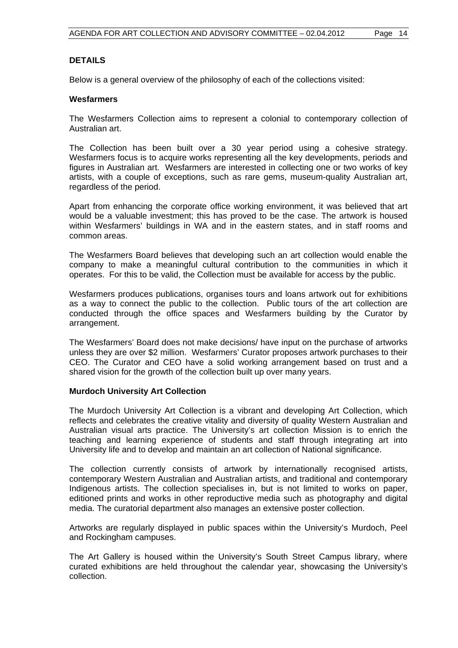#### **DETAILS**

Below is a general overview of the philosophy of each of the collections visited:

#### **Wesfarmers**

The Wesfarmers Collection aims to represent a colonial to contemporary collection of Australian art.

The Collection has been built over a 30 year period using a cohesive strategy. Wesfarmers focus is to acquire works representing all the key developments, periods and figures in Australian art. Wesfarmers are interested in collecting one or two works of key artists, with a couple of exceptions, such as rare gems, museum-quality Australian art, regardless of the period.

Apart from enhancing the corporate office working environment, it was believed that art would be a valuable investment; this has proved to be the case. The artwork is housed within Wesfarmers' buildings in WA and in the eastern states, and in staff rooms and common areas.

The Wesfarmers Board believes that developing such an art collection would enable the company to make a meaningful cultural contribution to the communities in which it operates. For this to be valid, the Collection must be available for access by the public.

Wesfarmers produces publications, organises tours and loans artwork out for exhibitions as a way to connect the public to the collection. Public tours of the art collection are conducted through the office spaces and Wesfarmers building by the Curator by arrangement.

The Wesfarmers' Board does not make decisions/ have input on the purchase of artworks unless they are over \$2 million. Wesfarmers' Curator proposes artwork purchases to their CEO. The Curator and CEO have a solid working arrangement based on trust and a shared vision for the growth of the collection built up over many years.

#### **Murdoch University Art Collection**

The Murdoch University Art Collection is a vibrant and developing Art Collection, which reflects and celebrates the creative vitality and diversity of quality Western Australian and Australian visual arts practice. The University's art collection Mission is to enrich the teaching and learning experience of students and staff through integrating art into University life and to develop and maintain an art collection of National significance.

The collection currently consists of artwork by internationally recognised artists, contemporary Western Australian and Australian artists, and traditional and contemporary Indigenous artists. The collection specialises in, but is not limited to works on paper, editioned prints and works in other reproductive media such as photography and digital media. The curatorial department also manages an extensive poster collection.

Artworks are regularly displayed in public spaces within the University's Murdoch, Peel and Rockingham campuses.

The Art Gallery is housed within the University's South Street Campus library, where curated exhibitions are held throughout the calendar year, showcasing the University's collection.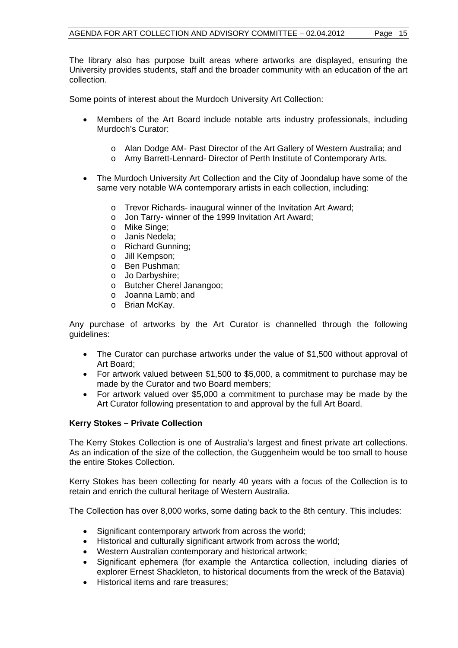The library also has purpose built areas where artworks are displayed, ensuring the University provides students, staff and the broader community with an education of the art collection.

Some points of interest about the Murdoch University Art Collection:

- Members of the Art Board include notable arts industry professionals, including Murdoch's Curator:
	- o Alan Dodge AM- Past Director of the Art Gallery of Western Australia; and
	- o Amy Barrett-Lennard- Director of Perth Institute of Contemporary Arts.
- The Murdoch University Art Collection and the City of Joondalup have some of the same very notable WA contemporary artists in each collection, including:
	- o Trevor Richards- inaugural winner of the Invitation Art Award;
	- o Jon Tarry- winner of the 1999 Invitation Art Award;
	- o Mike Singe;
	- o Janis Nedela;
	- o Richard Gunning;
	- o Jill Kempson;
	- o Ben Pushman;
	- o Jo Darbyshire;
	- o Butcher Cherel Janangoo;
	- o Joanna Lamb; and
	- o Brian McKay.

Any purchase of artworks by the Art Curator is channelled through the following guidelines:

- The Curator can purchase artworks under the value of \$1,500 without approval of Art Board;
- For artwork valued between \$1,500 to \$5,000, a commitment to purchase may be made by the Curator and two Board members;
- For artwork valued over \$5,000 a commitment to purchase may be made by the Art Curator following presentation to and approval by the full Art Board.

#### **Kerry Stokes – Private Collection**

The Kerry Stokes Collection is one of Australia's largest and finest private art collections. As an indication of the size of the collection, the Guggenheim would be too small to house the entire Stokes Collection.

Kerry Stokes has been collecting for nearly 40 years with a focus of the Collection is to retain and enrich the cultural heritage of Western Australia.

The Collection has over 8,000 works, some dating back to the 8th century. This includes:

- Significant contemporary artwork from across the world;
- Historical and culturally significant artwork from across the world;
- Western Australian contemporary and historical artwork;
- Significant ephemera (for example the Antarctica collection, including diaries of explorer Ernest Shackleton, to historical documents from the wreck of the Batavia)
- Historical items and rare treasures: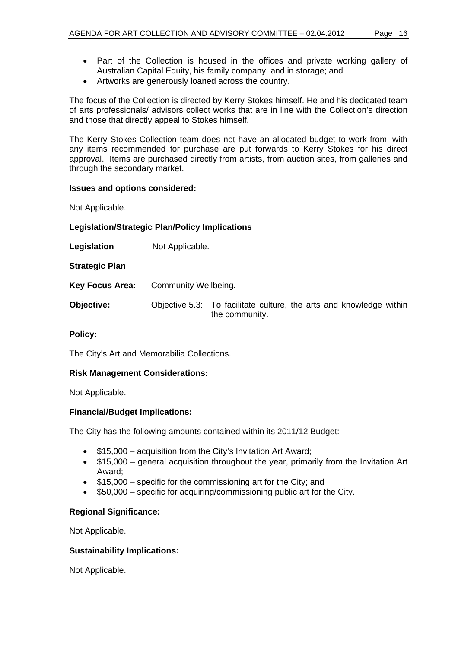- Part of the Collection is housed in the offices and private working gallery of Australian Capital Equity, his family company, and in storage; and
- Artworks are generously loaned across the country.

The focus of the Collection is directed by Kerry Stokes himself. He and his dedicated team of arts professionals/ advisors collect works that are in line with the Collection's direction and those that directly appeal to Stokes himself.

The Kerry Stokes Collection team does not have an allocated budget to work from, with any items recommended for purchase are put forwards to Kerry Stokes for his direct approval. Items are purchased directly from artists, from auction sites, from galleries and through the secondary market.

#### **Issues and options considered:**

Not Applicable.

#### **Legislation/Strategic Plan/Policy Implications**

**Legislation** Not Applicable.

**Strategic Plan** 

- **Key Focus Area:** Community Wellbeing.
- **Objective:** Objective 5.3: To facilitate culture, the arts and knowledge within the community.

#### **Policy:**

The City's Art and Memorabilia Collections.

#### **Risk Management Considerations:**

Not Applicable.

#### **Financial/Budget Implications:**

The City has the following amounts contained within its 2011/12 Budget:

- \$15,000 acquisition from the City's Invitation Art Award;
- \$15,000 general acquisition throughout the year, primarily from the Invitation Art Award;
- $\bullet$  \$15,000 specific for the commissioning art for the City; and
- $\bullet$  \$50,000 specific for acquiring/commissioning public art for the City.

#### **Regional Significance:**

Not Applicable.

#### **Sustainability Implications:**

Not Applicable.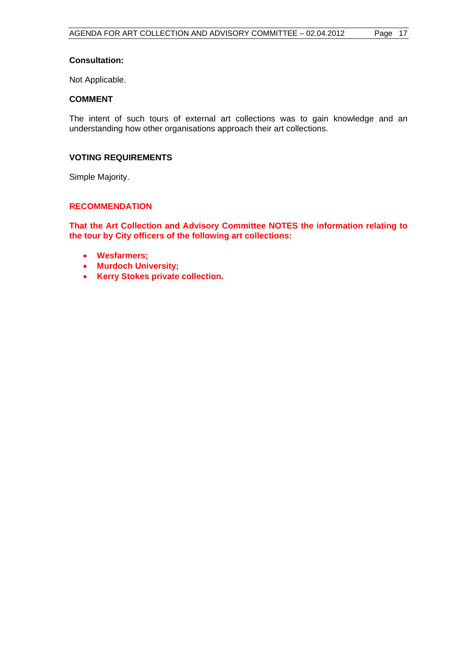#### **Consultation:**

Not Applicable.

#### **COMMENT**

The intent of such tours of external art collections was to gain knowledge and an understanding how other organisations approach their art collections.

#### **VOTING REQUIREMENTS**

Simple Majority.

#### **RECOMMENDATION**

**That the Art Collection and Advisory Committee NOTES the information relating to the tour by City officers of the following art collections:** 

- **Wesfarmers;**
- **Murdoch University;**
- **Kerry Stokes private collection.**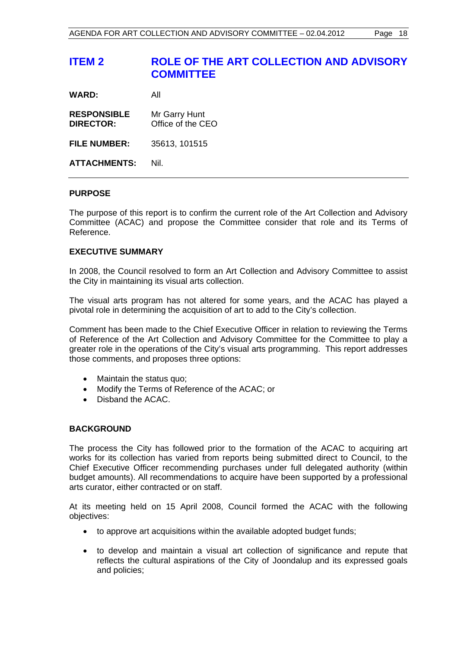| All                                |
|------------------------------------|
| Mr Garry Hunt<br>Office of the CEO |
| 35613, 101515                      |
|                                    |

**ATTACHMENTS:** Nil.

#### **PURPOSE**

The purpose of this report is to confirm the current role of the Art Collection and Advisory Committee (ACAC) and propose the Committee consider that role and its Terms of Reference.

#### **EXECUTIVE SUMMARY**

In 2008, the Council resolved to form an Art Collection and Advisory Committee to assist the City in maintaining its visual arts collection.

The visual arts program has not altered for some years, and the ACAC has played a pivotal role in determining the acquisition of art to add to the City's collection.

Comment has been made to the Chief Executive Officer in relation to reviewing the Terms of Reference of the Art Collection and Advisory Committee for the Committee to play a greater role in the operations of the City's visual arts programming. This report addresses those comments, and proposes three options:

- Maintain the status quo;
- Modify the Terms of Reference of the ACAC; or
- Disband the ACAC.

#### **BACKGROUND**

The process the City has followed prior to the formation of the ACAC to acquiring art works for its collection has varied from reports being submitted direct to Council, to the Chief Executive Officer recommending purchases under full delegated authority (within budget amounts). All recommendations to acquire have been supported by a professional arts curator, either contracted or on staff.

At its meeting held on 15 April 2008, Council formed the ACAC with the following objectives:

- to approve art acquisitions within the available adopted budget funds;
- to develop and maintain a visual art collection of significance and repute that reflects the cultural aspirations of the City of Joondalup and its expressed goals and policies;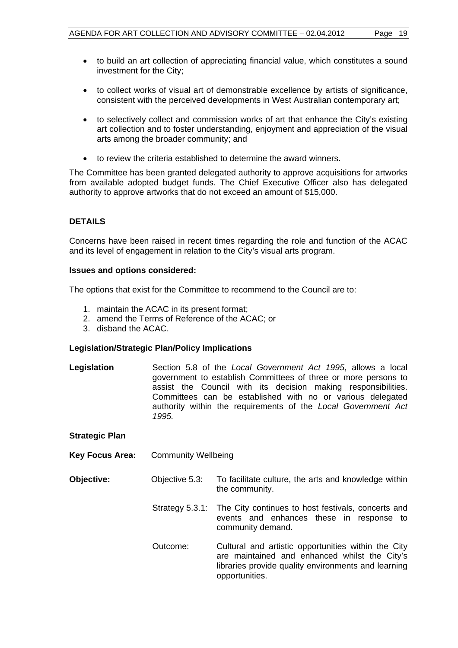- to build an art collection of appreciating financial value, which constitutes a sound investment for the City;
- to collect works of visual art of demonstrable excellence by artists of significance, consistent with the perceived developments in West Australian contemporary art;
- to selectively collect and commission works of art that enhance the City's existing art collection and to foster understanding, enjoyment and appreciation of the visual arts among the broader community; and
- to review the criteria established to determine the award winners.

The Committee has been granted delegated authority to approve acquisitions for artworks from available adopted budget funds. The Chief Executive Officer also has delegated authority to approve artworks that do not exceed an amount of \$15,000.

#### **DETAILS**

Concerns have been raised in recent times regarding the role and function of the ACAC and its level of engagement in relation to the City's visual arts program.

#### **Issues and options considered:**

The options that exist for the Committee to recommend to the Council are to:

- 1. maintain the ACAC in its present format;
- 2. amend the Terms of Reference of the ACAC; or
- 3. disband the ACAC.

#### **Legislation/Strategic Plan/Policy Implications**

**Legislation** Section 5.8 of the *Local Government Act 1995*, allows a local government to establish Committees of three or more persons to assist the Council with its decision making responsibilities. Committees can be established with no or various delegated authority within the requirements of the *Local Government Act 1995.* 

| <b>Strategic Plan</b>  |                            |                                                                                                                                                                               |
|------------------------|----------------------------|-------------------------------------------------------------------------------------------------------------------------------------------------------------------------------|
| <b>Key Focus Area:</b> | <b>Community Wellbeing</b> |                                                                                                                                                                               |
| Objective:             | Objective 5.3:             | To facilitate culture, the arts and knowledge within<br>the community.                                                                                                        |
|                        |                            | Strategy 5.3.1: The City continues to host festivals, concerts and<br>events and enhances these in response to<br>community demand.                                           |
|                        | Outcome:                   | Cultural and artistic opportunities within the City<br>are maintained and enhanced whilst the City's<br>libraries provide quality environments and learning<br>opportunities. |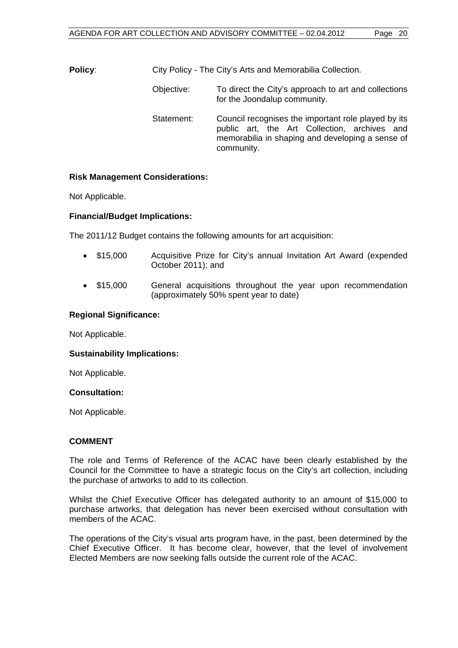**Policy:** City Policy - The City's Arts and Memorabilia Collection.

- Objective: To direct the City's approach to art and collections for the Joondalup community.
- Statement: Council recognises the important role played by its public art, the Art Collection, archives and memorabilia in shaping and developing a sense of community.

#### **Risk Management Considerations:**

Not Applicable.

#### **Financial/Budget Implications:**

The 2011/12 Budget contains the following amounts for art acquisition:

- \$15,000 Acquisitive Prize for City's annual Invitation Art Award (expended October 2011); and
- \$15,000 General acquisitions throughout the year upon recommendation (approximately 50% spent year to date)

#### **Regional Significance:**

Not Applicable.

#### **Sustainability Implications:**

Not Applicable.

#### **Consultation:**

Not Applicable.

#### **COMMENT**

The role and Terms of Reference of the ACAC have been clearly established by the Council for the Committee to have a strategic focus on the City's art collection, including the purchase of artworks to add to its collection.

Whilst the Chief Executive Officer has delegated authority to an amount of \$15,000 to purchase artworks, that delegation has never been exercised without consultation with members of the ACAC.

The operations of the City's visual arts program have, in the past, been determined by the Chief Executive Officer. It has become clear, however, that the level of involvement Elected Members are now seeking falls outside the current role of the ACAC.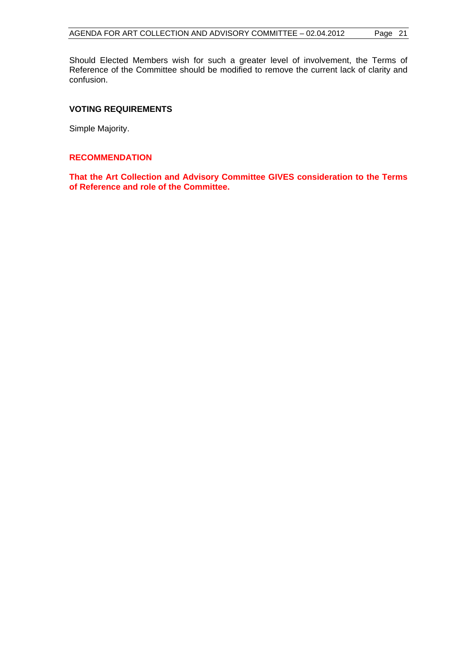Should Elected Members wish for such a greater level of involvement, the Terms of Reference of the Committee should be modified to remove the current lack of clarity and confusion.

#### **VOTING REQUIREMENTS**

Simple Majority.

#### **RECOMMENDATION**

**That the Art Collection and Advisory Committee GIVES consideration to the Terms of Reference and role of the Committee.**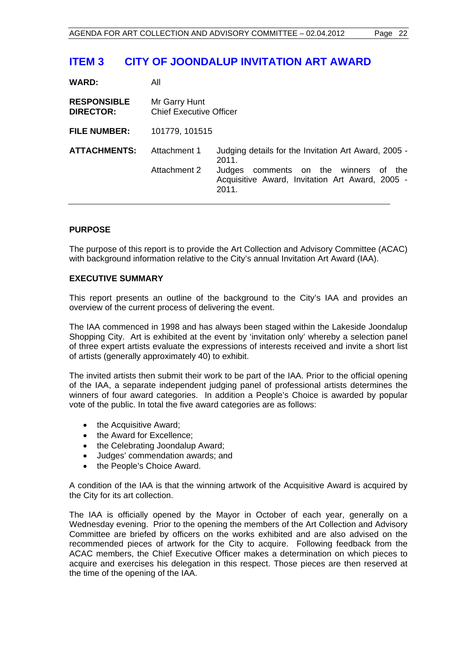## **ITEM 3 CITY OF JOONDALUP INVITATION ART AWARD**

| <b>WARD:</b>                           | All                                             |                                                                                                                                                                       |
|----------------------------------------|-------------------------------------------------|-----------------------------------------------------------------------------------------------------------------------------------------------------------------------|
| <b>RESPONSIBLE</b><br><b>DIRECTOR:</b> | Mr Garry Hunt<br><b>Chief Executive Officer</b> |                                                                                                                                                                       |
| <b>FILE NUMBER:</b>                    | 101779, 101515                                  |                                                                                                                                                                       |
| <b>ATTACHMENTS:</b>                    | Attachment 1<br>Attachment 2                    | Judging details for the Invitation Art Award, 2005 -<br>2011.<br>Judges<br>comments on the winners of the<br>Acquisitive Award, Invitation Art Award, 2005 -<br>2011. |

#### **PURPOSE**

The purpose of this report is to provide the Art Collection and Advisory Committee (ACAC) with background information relative to the City's annual Invitation Art Award (IAA).

#### **EXECUTIVE SUMMARY**

This report presents an outline of the background to the City's IAA and provides an overview of the current process of delivering the event.

The IAA commenced in 1998 and has always been staged within the Lakeside Joondalup Shopping City. Art is exhibited at the event by 'invitation only' whereby a selection panel of three expert artists evaluate the expressions of interests received and invite a short list of artists (generally approximately 40) to exhibit.

The invited artists then submit their work to be part of the IAA. Prior to the official opening of the IAA, a separate independent judging panel of professional artists determines the winners of four award categories. In addition a People's Choice is awarded by popular vote of the public. In total the five award categories are as follows:

- the Acquisitive Award;
- the Award for Excellence;
- the Celebrating Joondalup Award;
- Judges' commendation awards; and
- the People's Choice Award.

A condition of the IAA is that the winning artwork of the Acquisitive Award is acquired by the City for its art collection.

The IAA is officially opened by the Mayor in October of each year, generally on a Wednesday evening. Prior to the opening the members of the Art Collection and Advisory Committee are briefed by officers on the works exhibited and are also advised on the recommended pieces of artwork for the City to acquire. Following feedback from the ACAC members, the Chief Executive Officer makes a determination on which pieces to acquire and exercises his delegation in this respect. Those pieces are then reserved at the time of the opening of the IAA.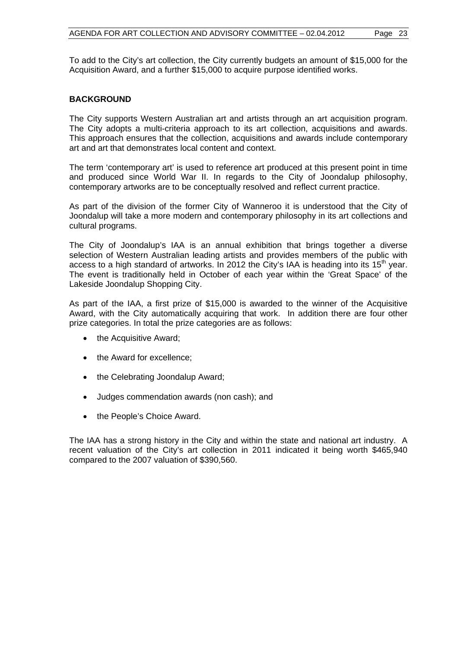To add to the City's art collection, the City currently budgets an amount of \$15,000 for the Acquisition Award, and a further \$15,000 to acquire purpose identified works.

#### **BACKGROUND**

The City supports Western Australian art and artists through an art acquisition program. The City adopts a multi-criteria approach to its art collection, acquisitions and awards. This approach ensures that the collection, acquisitions and awards include contemporary art and art that demonstrates local content and context.

The term 'contemporary art' is used to reference art produced at this present point in time and produced since World War II. In regards to the City of Joondalup philosophy, contemporary artworks are to be conceptually resolved and reflect current practice.

As part of the division of the former City of Wanneroo it is understood that the City of Joondalup will take a more modern and contemporary philosophy in its art collections and cultural programs.

The City of Joondalup's IAA is an annual exhibition that brings together a diverse selection of Western Australian leading artists and provides members of the public with access to a high standard of artworks. In 2012 the City's IAA is heading into its  $15<sup>th</sup>$  year. The event is traditionally held in October of each year within the 'Great Space' of the Lakeside Joondalup Shopping City.

As part of the IAA, a first prize of \$15,000 is awarded to the winner of the Acquisitive Award, with the City automatically acquiring that work. In addition there are four other prize categories. In total the prize categories are as follows:

- the Acquisitive Award;
- the Award for excellence;
- the Celebrating Joondalup Award;
- Judges commendation awards (non cash); and
- the People's Choice Award.

The IAA has a strong history in the City and within the state and national art industry. A recent valuation of the City's art collection in 2011 indicated it being worth \$465,940 compared to the 2007 valuation of \$390,560.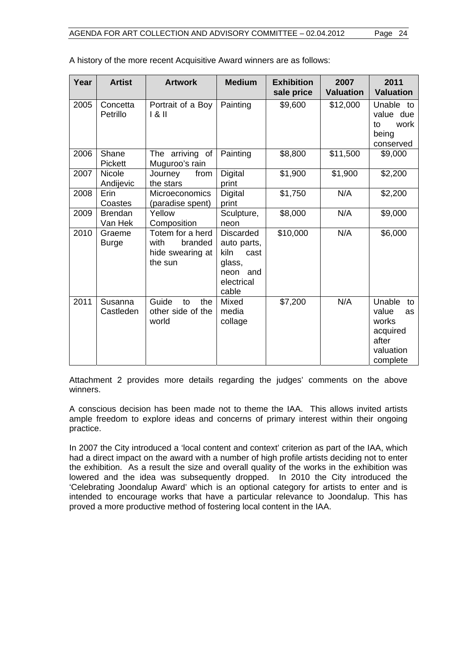| Year | <b>Artist</b>              | <b>Artwork</b>                                                     | <b>Medium</b>                                                                                | <b>Exhibition</b><br>sale price | 2007<br><b>Valuation</b> | 2011<br><b>Valuation</b>                                                           |
|------|----------------------------|--------------------------------------------------------------------|----------------------------------------------------------------------------------------------|---------------------------------|--------------------------|------------------------------------------------------------------------------------|
| 2005 | Concetta<br>Petrillo       | Portrait of a Boy<br>181                                           | Painting                                                                                     | \$9,600                         | \$12,000                 | Unable to<br>value due<br>work<br>to<br>being<br>conserved                         |
| 2006 | Shane<br>Pickett           | The arriving<br>of<br>Muguroo's rain                               | Painting                                                                                     | \$8,800                         | \$11,500                 | \$9,000                                                                            |
| 2007 | <b>Nicole</b><br>Andijevic | from<br>Journey<br>the stars                                       | Digital<br>print                                                                             | \$1,900                         | \$1,900                  | \$2,200                                                                            |
| 2008 | Erin<br>Coastes            | Microeconomics<br>(paradise spent)                                 | Digital<br>print                                                                             | \$1,750                         | N/A                      | \$2,200                                                                            |
| 2009 | <b>Brendan</b><br>Van Hek  | Yellow<br>Composition                                              | Sculpture,<br>neon                                                                           | \$8,000                         | N/A                      | \$9,000                                                                            |
| 2010 | Graeme<br><b>Burge</b>     | Totem for a herd<br>with<br>branded<br>hide swearing at<br>the sun | <b>Discarded</b><br>auto parts,<br>kiln<br>cast<br>glass,<br>neon and<br>electrical<br>cable | \$10,000                        | N/A                      | \$6,000                                                                            |
| 2011 | Susanna<br>Castleden       | Guide<br>the<br>to<br>other side of the<br>world                   | Mixed<br>media<br>collage                                                                    | \$7,200                         | N/A                      | Unable<br>to<br>value<br>as<br>works<br>acquired<br>after<br>valuation<br>complete |

A history of the more recent Acquisitive Award winners are as follows:

Attachment 2 provides more details regarding the judges' comments on the above winners.

A conscious decision has been made not to theme the IAA. This allows invited artists ample freedom to explore ideas and concerns of primary interest within their ongoing practice.

In 2007 the City introduced a 'local content and context' criterion as part of the IAA, which had a direct impact on the award with a number of high profile artists deciding not to enter the exhibition. As a result the size and overall quality of the works in the exhibition was lowered and the idea was subsequently dropped. In 2010 the City introduced the 'Celebrating Joondalup Award' which is an optional category for artists to enter and is intended to encourage works that have a particular relevance to Joondalup. This has proved a more productive method of fostering local content in the IAA.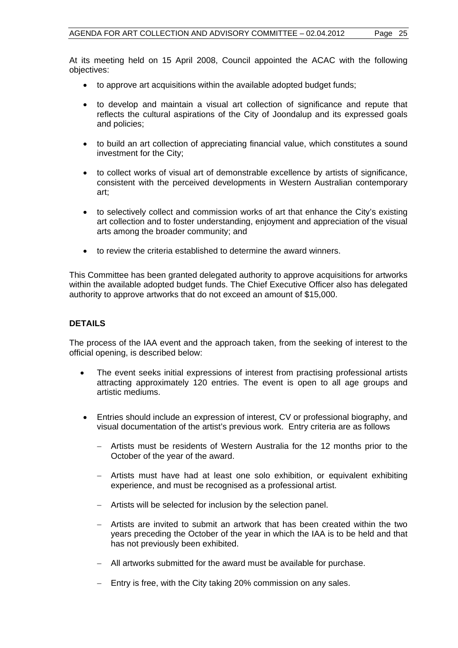At its meeting held on 15 April 2008, Council appointed the ACAC with the following objectives:

- to approve art acquisitions within the available adopted budget funds;
- to develop and maintain a visual art collection of significance and repute that reflects the cultural aspirations of the City of Joondalup and its expressed goals and policies;
- to build an art collection of appreciating financial value, which constitutes a sound investment for the City;
- to collect works of visual art of demonstrable excellence by artists of significance, consistent with the perceived developments in Western Australian contemporary art;
- to selectively collect and commission works of art that enhance the City's existing art collection and to foster understanding, enjoyment and appreciation of the visual arts among the broader community; and
- to review the criteria established to determine the award winners.

This Committee has been granted delegated authority to approve acquisitions for artworks within the available adopted budget funds. The Chief Executive Officer also has delegated authority to approve artworks that do not exceed an amount of \$15,000.

#### **DETAILS**

The process of the IAA event and the approach taken, from the seeking of interest to the official opening, is described below:

- The event seeks initial expressions of interest from practising professional artists attracting approximately 120 entries. The event is open to all age groups and artistic mediums.
- Entries should include an expression of interest, CV or professional biography, and visual documentation of the artist's previous work. Entry criteria are as follows
	- Artists must be residents of Western Australia for the 12 months prior to the October of the year of the award.
	- Artists must have had at least one solo exhibition, or equivalent exhibiting experience, and must be recognised as a professional artist.
	- Artists will be selected for inclusion by the selection panel.
	- Artists are invited to submit an artwork that has been created within the two years preceding the October of the year in which the IAA is to be held and that has not previously been exhibited.
	- All artworks submitted for the award must be available for purchase.
	- $-$  Entry is free, with the City taking 20% commission on any sales.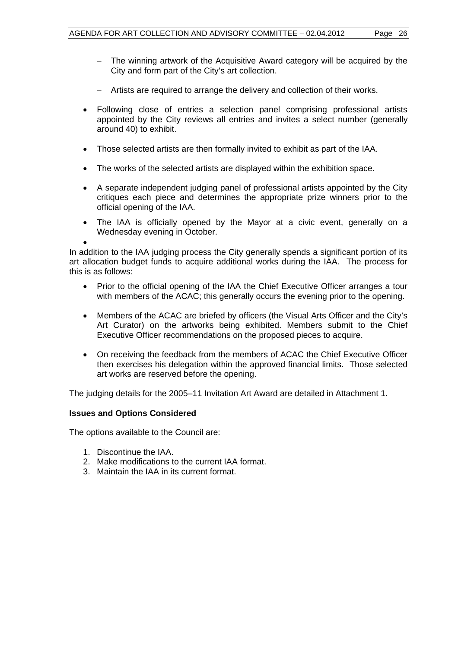- The winning artwork of the Acquisitive Award category will be acquired by the City and form part of the City's art collection.
- Artists are required to arrange the delivery and collection of their works.
- Following close of entries a selection panel comprising professional artists appointed by the City reviews all entries and invites a select number (generally around 40) to exhibit.
- Those selected artists are then formally invited to exhibit as part of the IAA.
- The works of the selected artists are displayed within the exhibition space.
- A separate independent judging panel of professional artists appointed by the City critiques each piece and determines the appropriate prize winners prior to the official opening of the IAA.
- The IAA is officially opened by the Mayor at a civic event, generally on a Wednesday evening in October.

 $\bullet$ In addition to the IAA judging process the City generally spends a significant portion of its art allocation budget funds to acquire additional works during the IAA. The process for this is as follows:

- Prior to the official opening of the IAA the Chief Executive Officer arranges a tour with members of the ACAC; this generally occurs the evening prior to the opening.
- Members of the ACAC are briefed by officers (the Visual Arts Officer and the City's Art Curator) on the artworks being exhibited. Members submit to the Chief Executive Officer recommendations on the proposed pieces to acquire.
- On receiving the feedback from the members of ACAC the Chief Executive Officer then exercises his delegation within the approved financial limits. Those selected art works are reserved before the opening.

The judging details for the 2005–11 Invitation Art Award are detailed in Attachment 1.

#### **Issues and Options Considered**

The options available to the Council are:

- 1. Discontinue the IAA.
- 2. Make modifications to the current IAA format.
- 3. Maintain the IAA in its current format.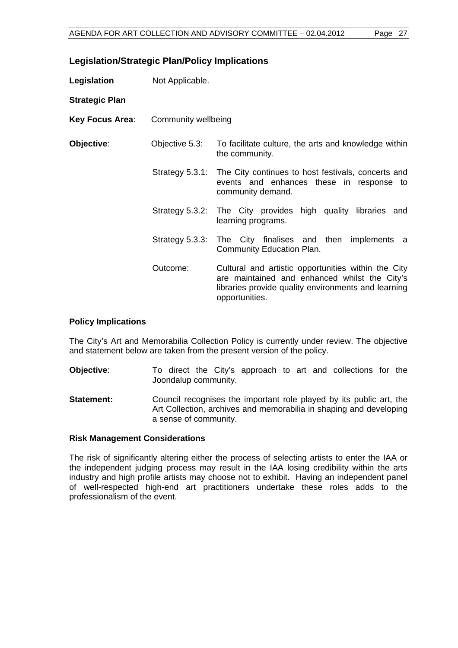#### **Legislation/Strategic Plan/Policy Implications**

| Legislation           | Not Applicable.     |                                                                                                                                                                               |  |  |
|-----------------------|---------------------|-------------------------------------------------------------------------------------------------------------------------------------------------------------------------------|--|--|
| <b>Strategic Plan</b> |                     |                                                                                                                                                                               |  |  |
| Key Focus Area:       | Community wellbeing |                                                                                                                                                                               |  |  |
| Objective:            | Objective 5.3:      | To facilitate culture, the arts and knowledge within<br>the community.                                                                                                        |  |  |
|                       |                     | Strategy 5.3.1: The City continues to host festivals, concerts and<br>events and enhances these in response to<br>community demand.                                           |  |  |
|                       |                     | Strategy 5.3.2: The City provides high quality libraries and<br>learning programs.                                                                                            |  |  |
|                       | Strategy 5.3.3:     | The City finalises and then<br>implements a<br>Community Education Plan.                                                                                                      |  |  |
|                       | Outcome:            | Cultural and artistic opportunities within the City<br>are maintained and enhanced whilst the City's<br>libraries provide quality environments and learning<br>opportunities. |  |  |

#### **Policy Implications**

The City's Art and Memorabilia Collection Policy is currently under review. The objective and statement below are taken from the present version of the policy.

- **Objective:** To direct the City's approach to art and collections for the Joondalup community.
- **Statement:** Council recognises the important role played by its public art, the Art Collection, archives and memorabilia in shaping and developing a sense of community.

#### **Risk Management Considerations**

The risk of significantly altering either the process of selecting artists to enter the IAA or the independent judging process may result in the IAA losing credibility within the arts industry and high profile artists may choose not to exhibit. Having an independent panel of well-respected high-end art practitioners undertake these roles adds to the professionalism of the event.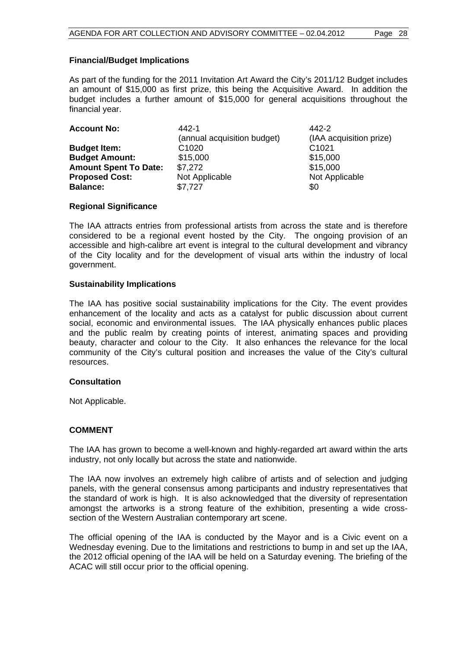#### **Financial/Budget Implications**

As part of the funding for the 2011 Invitation Art Award the City's 2011/12 Budget includes an amount of \$15,000 as first prize, this being the Acquisitive Award. In addition the budget includes a further amount of \$15,000 for general acquisitions throughout the financial year.

| <b>Account No:</b>           | 442-1                       | 442-2                   |
|------------------------------|-----------------------------|-------------------------|
|                              | (annual acquisition budget) | (IAA acquisition prize) |
| <b>Budget Item:</b>          | C <sub>1020</sub>           | C <sub>1021</sub>       |
| <b>Budget Amount:</b>        | \$15,000                    | \$15,000                |
| <b>Amount Spent To Date:</b> | \$7.272                     | \$15,000                |
| <b>Proposed Cost:</b>        | Not Applicable              | Not Applicable          |
| <b>Balance:</b>              | \$7,727                     | \$0                     |

#### **Regional Significance**

The IAA attracts entries from professional artists from across the state and is therefore considered to be a regional event hosted by the City. The ongoing provision of an accessible and high-calibre art event is integral to the cultural development and vibrancy of the City locality and for the development of visual arts within the industry of local government.

#### **Sustainability Implications**

The IAA has positive social sustainability implications for the City. The event provides enhancement of the locality and acts as a catalyst for public discussion about current social, economic and environmental issues. The IAA physically enhances public places and the public realm by creating points of interest, animating spaces and providing beauty, character and colour to the City. It also enhances the relevance for the local community of the City's cultural position and increases the value of the City's cultural resources.

#### **Consultation**

Not Applicable.

#### **COMMENT**

The IAA has grown to become a well-known and highly-regarded art award within the arts industry, not only locally but across the state and nationwide.

The IAA now involves an extremely high calibre of artists and of selection and judging panels, with the general consensus among participants and industry representatives that the standard of work is high. It is also acknowledged that the diversity of representation amongst the artworks is a strong feature of the exhibition, presenting a wide crosssection of the Western Australian contemporary art scene.

The official opening of the IAA is conducted by the Mayor and is a Civic event on a Wednesday evening. Due to the limitations and restrictions to bump in and set up the IAA, the 2012 official opening of the IAA will be held on a Saturday evening. The briefing of the ACAC will still occur prior to the official opening.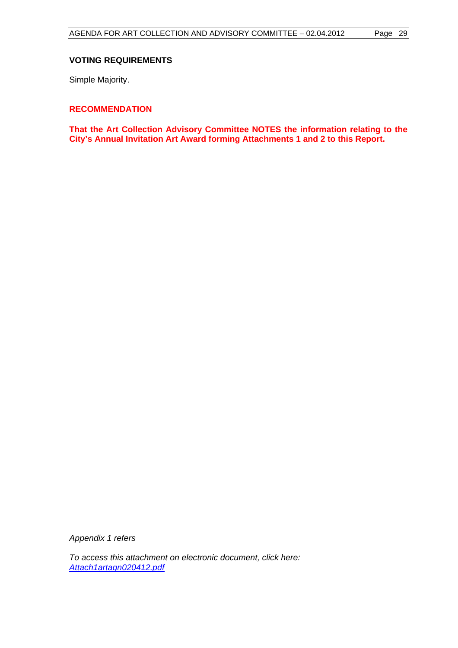#### **VOTING REQUIREMENTS**

Simple Majority.

#### **RECOMMENDATION**

**That the Art Collection Advisory Committee NOTES the information relating to the City's Annual Invitation Art Award forming Attachments 1 and 2 to this Report.** 

*Appendix 1 refers* 

*To access this attachment on electronic document, click here: <Attach1artagn020412.pdf>*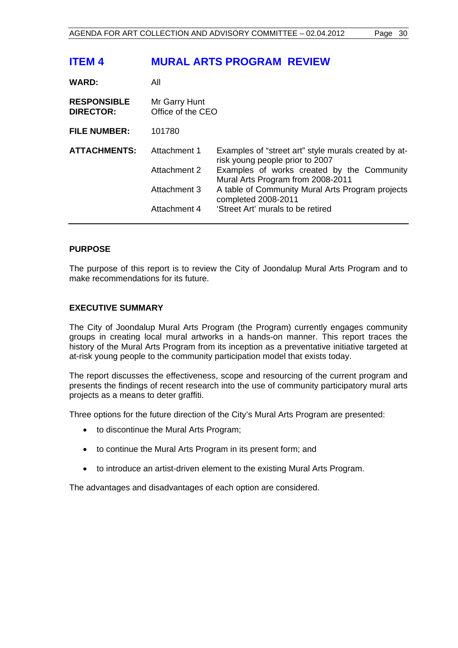## **ITEM 4 MURAL ARTS PROGRAM REVIEW**

| <b>WARD:</b>                           | All                                |                                                                                         |
|----------------------------------------|------------------------------------|-----------------------------------------------------------------------------------------|
| <b>RESPONSIBLE</b><br><b>DIRECTOR:</b> | Mr Garry Hunt<br>Office of the CEO |                                                                                         |
| <b>FILE NUMBER:</b>                    | 101780                             |                                                                                         |
| <b>ATTACHMENTS:</b>                    | Attachment 1                       | Examples of "street art" style murals created by at-<br>risk young people prior to 2007 |
|                                        | Attachment 2                       | Examples of works created by the Community<br>Mural Arts Program from 2008-2011         |
|                                        | Attachment 3                       | A table of Community Mural Arts Program projects<br>completed 2008-2011                 |
|                                        | Attachment 4                       | 'Street Art' murals to be retired                                                       |

#### **PURPOSE**

The purpose of this report is to review the City of Joondalup Mural Arts Program and to make recommendations for its future.

#### **EXECUTIVE SUMMARY**

The City of Joondalup Mural Arts Program (the Program) currently engages community groups in creating local mural artworks in a hands-on manner. This report traces the history of the Mural Arts Program from its inception as a preventative initiative targeted at at-risk young people to the community participation model that exists today.

The report discusses the effectiveness, scope and resourcing of the current program and presents the findings of recent research into the use of community participatory mural arts projects as a means to deter graffiti.

Three options for the future direction of the City's Mural Arts Program are presented:

- to discontinue the Mural Arts Program;
- to continue the Mural Arts Program in its present form; and
- to introduce an artist-driven element to the existing Mural Arts Program.

The advantages and disadvantages of each option are considered.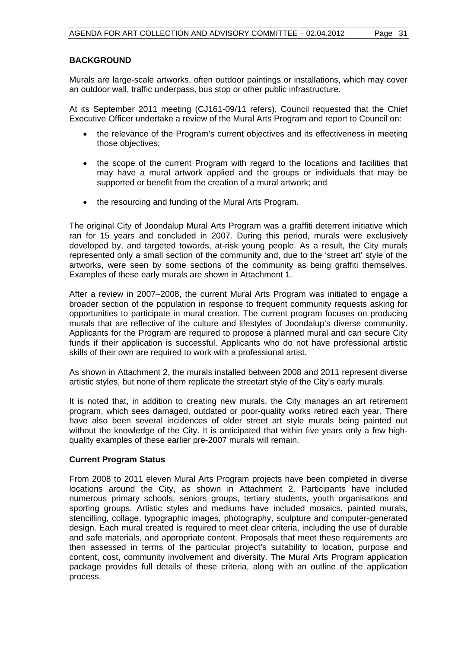#### **BACKGROUND**

Murals are large-scale artworks, often outdoor paintings or installations, which may cover an outdoor wall, traffic underpass, bus stop or other public infrastructure.

At its September 2011 meeting (CJ161-09/11 refers), Council requested that the Chief Executive Officer undertake a review of the Mural Arts Program and report to Council on:

- the relevance of the Program's current objectives and its effectiveness in meeting those objectives;
- the scope of the current Program with regard to the locations and facilities that may have a mural artwork applied and the groups or individuals that may be supported or benefit from the creation of a mural artwork; and
- the resourcing and funding of the Mural Arts Program.

The original City of Joondalup Mural Arts Program was a graffiti deterrent initiative which ran for 15 years and concluded in 2007. During this period, murals were exclusively developed by, and targeted towards, at-risk young people. As a result, the City murals represented only a small section of the community and, due to the 'street art' style of the artworks, were seen by some sections of the community as being graffiti themselves. Examples of these early murals are shown in Attachment 1.

After a review in 2007–2008, the current Mural Arts Program was initiated to engage a broader section of the population in response to frequent community requests asking for opportunities to participate in mural creation. The current program focuses on producing murals that are reflective of the culture and lifestyles of Joondalup's diverse community. Applicants for the Program are required to propose a planned mural and can secure City funds if their application is successful. Applicants who do not have professional artistic skills of their own are required to work with a professional artist.

As shown in Attachment 2, the murals installed between 2008 and 2011 represent diverse artistic styles, but none of them replicate the streetart style of the City's early murals.

It is noted that, in addition to creating new murals, the City manages an art retirement program, which sees damaged, outdated or poor-quality works retired each year. There have also been several incidences of older street art style murals being painted out without the knowledge of the City. It is anticipated that within five years only a few highquality examples of these earlier pre-2007 murals will remain.

#### **Current Program Status**

From 2008 to 2011 eleven Mural Arts Program projects have been completed in diverse locations around the City, as shown in Attachment 2. Participants have included numerous primary schools, seniors groups, tertiary students, youth organisations and sporting groups. Artistic styles and mediums have included mosaics, painted murals, stencilling, collage, typographic images, photography, sculpture and computer-generated design. Each mural created is required to meet clear criteria, including the use of durable and safe materials, and appropriate content. Proposals that meet these requirements are then assessed in terms of the particular project's suitability to location, purpose and content, cost, community involvement and diversity. The Mural Arts Program application package provides full details of these criteria, along with an outline of the application process.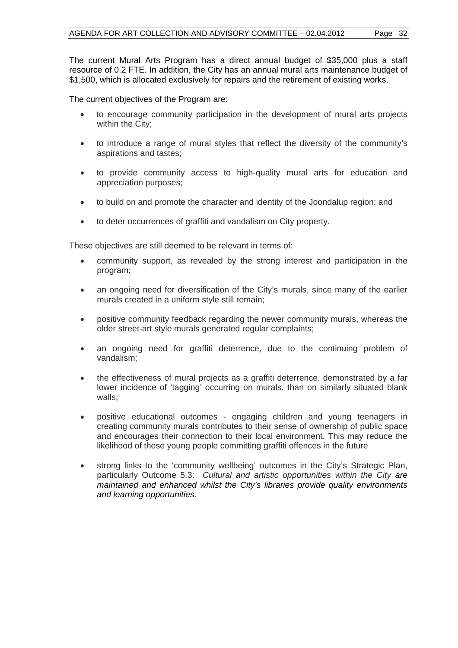The current Mural Arts Program has a direct annual budget of \$35,000 plus a staff resource of 0.2 FTE. In addition, the City has an annual mural arts maintenance budget of \$1,500, which is allocated exclusively for repairs and the retirement of existing works.

The current objectives of the Program are:

- to encourage community participation in the development of mural arts projects within the City;
- to introduce a range of mural styles that reflect the diversity of the community's aspirations and tastes;
- to provide community access to high-quality mural arts for education and appreciation purposes;
- to build on and promote the character and identity of the Joondalup region; and
- to deter occurrences of graffiti and vandalism on City property.

These objectives are still deemed to be relevant in terms of:

- community support, as revealed by the strong interest and participation in the program;
- an ongoing need for diversification of the City's murals, since many of the earlier murals created in a uniform style still remain;
- positive community feedback regarding the newer community murals, whereas the older street-art style murals generated regular complaints;
- an ongoing need for graffiti deterrence, due to the continuing problem of vandalism;
- the effectiveness of mural projects as a graffiti deterrence, demonstrated by a far lower incidence of 'tagging' occurring on murals, than on similarly situated blank walls;
- positive educational outcomes engaging children and young teenagers in creating community murals contributes to their sense of ownership of public space and encourages their connection to their local environment. This may reduce the likelihood of these young people committing graffiti offences in the future
- strong links to the 'community wellbeing' outcomes in the City's Strategic Plan, particularly Outcome 5.3: *Cultural and artistic opportunities within the City are maintained and enhanced whilst the City's libraries provide quality environments and learning opportunities.*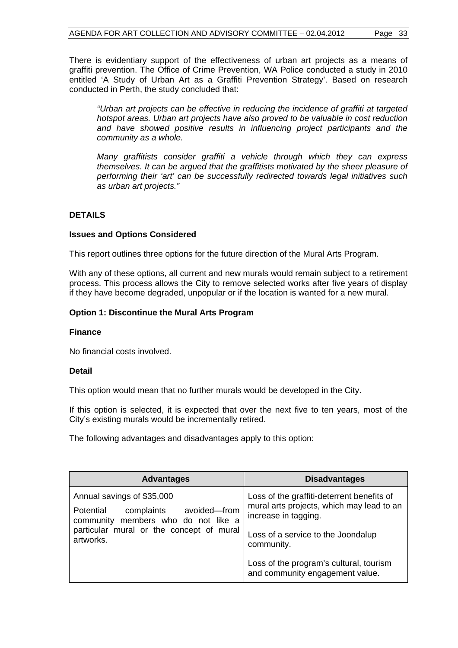There is evidentiary support of the effectiveness of urban art projects as a means of graffiti prevention. The Office of Crime Prevention, WA Police conducted a study in 2010 entitled 'A Study of Urban Art as a Graffiti Prevention Strategy'. Based on research conducted in Perth, the study concluded that:

*"Urban art projects can be effective in reducing the incidence of graffiti at targeted hotspot areas. Urban art projects have also proved to be valuable in cost reduction and have showed positive results in influencing project participants and the community as a whole.* 

*Many graffitists consider graffiti a vehicle through which they can express themselves. It can be argued that the graffitists motivated by the sheer pleasure of performing their 'art' can be successfully redirected towards legal initiatives such as urban art projects."*

#### **DETAILS**

#### **Issues and Options Considered**

This report outlines three options for the future direction of the Mural Arts Program.

With any of these options, all current and new murals would remain subject to a retirement process. This process allows the City to remove selected works after five years of display if they have become degraded, unpopular or if the location is wanted for a new mural.

#### **Option 1: Discontinue the Mural Arts Program**

#### **Finance**

No financial costs involved.

#### **Detail**

This option would mean that no further murals would be developed in the City.

If this option is selected, it is expected that over the next five to ten years, most of the City's existing murals would be incrementally retired.

The following advantages and disadvantages apply to this option:

| <b>Advantages</b>                                                                                                                                                     | <b>Disadvantages</b>                                                                                            |  |
|-----------------------------------------------------------------------------------------------------------------------------------------------------------------------|-----------------------------------------------------------------------------------------------------------------|--|
| Annual savings of \$35,000<br>avoided-from<br>Potential<br>complaints<br>community members who do not like a<br>particular mural or the concept of mural<br>artworks. | Loss of the graffiti-deterrent benefits of<br>mural arts projects, which may lead to an<br>increase in tagging. |  |
|                                                                                                                                                                       | Loss of a service to the Joondalup<br>community.                                                                |  |
|                                                                                                                                                                       | Loss of the program's cultural, tourism<br>and community engagement value.                                      |  |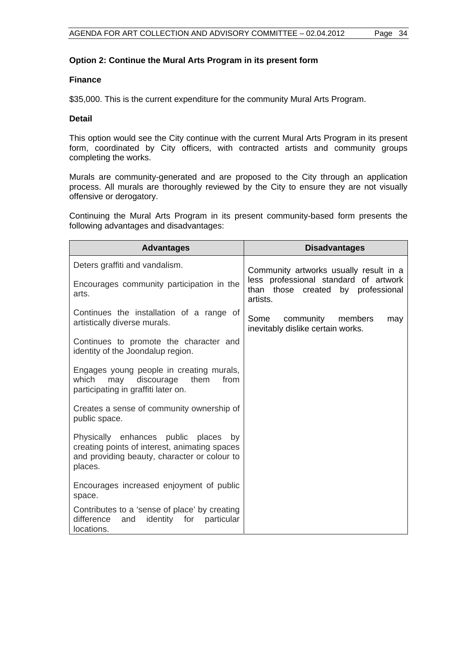#### **Option 2: Continue the Mural Arts Program in its present form**

#### **Finance**

\$35,000. This is the current expenditure for the community Mural Arts Program.

#### **Detail**

This option would see the City continue with the current Mural Arts Program in its present form, coordinated by City officers, with contracted artists and community groups completing the works.

Murals are community-generated and are proposed to the City through an application process. All murals are thoroughly reviewed by the City to ensure they are not visually offensive or derogatory.

Continuing the Mural Arts Program in its present community-based form presents the following advantages and disadvantages:

| <b>Advantages</b>                                                                                                                                   | <b>Disadvantages</b>                                                                          |
|-----------------------------------------------------------------------------------------------------------------------------------------------------|-----------------------------------------------------------------------------------------------|
| Deters graffiti and vandalism.                                                                                                                      | Community artworks usually result in a                                                        |
| Encourages community participation in the<br>arts.                                                                                                  | less professional standard of artwork<br>than those created<br>by<br>professional<br>artists. |
| Continues the installation of a range of<br>artistically diverse murals.                                                                            | community members<br>Some<br>may<br>inevitably dislike certain works.                         |
| Continues to promote the character and<br>identity of the Joondalup region.                                                                         |                                                                                               |
| Engages young people in creating murals,<br>which<br>discourage<br>them<br>from<br>may<br>participating in graffiti later on.                       |                                                                                               |
| Creates a sense of community ownership of<br>public space.                                                                                          |                                                                                               |
| Physically enhances public places<br>bv<br>creating points of interest, animating spaces<br>and providing beauty, character or colour to<br>places. |                                                                                               |
| Encourages increased enjoyment of public<br>space.                                                                                                  |                                                                                               |
| Contributes to a 'sense of place' by creating<br>difference<br>particular<br>identity for<br>and<br>locations.                                      |                                                                                               |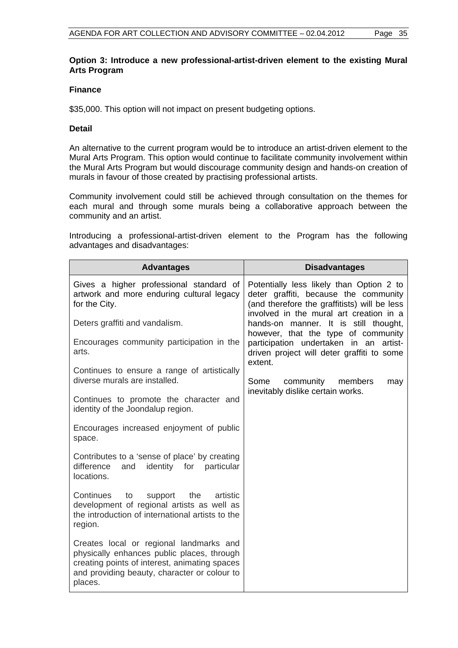#### **Option 3: Introduce a new professional-artist-driven element to the existing Mural Arts Program**

#### **Finance**

\$35,000. This option will not impact on present budgeting options.

#### **Detail**

An alternative to the current program would be to introduce an artist-driven element to the Mural Arts Program. This option would continue to facilitate community involvement within the Mural Arts Program but would discourage community design and hands-on creation of murals in favour of those created by practising professional artists.

Community involvement could still be achieved through consultation on the themes for each mural and through some murals being a collaborative approach between the community and an artist.

Introducing a professional-artist-driven element to the Program has the following advantages and disadvantages:

| <b>Advantages</b>                                                                                                                                                                                 | <b>Disadvantages</b>                                                                                                                                                         |
|---------------------------------------------------------------------------------------------------------------------------------------------------------------------------------------------------|------------------------------------------------------------------------------------------------------------------------------------------------------------------------------|
| Gives a higher professional standard of<br>artwork and more enduring cultural legacy<br>for the City.                                                                                             | Potentially less likely than Option 2 to<br>deter graffiti, because the community<br>(and therefore the graffitists) will be less<br>involved in the mural art creation in a |
| Deters graffiti and vandalism.                                                                                                                                                                    | hands-on manner. It is still thought,<br>however, that the type of community                                                                                                 |
| Encourages community participation in the<br>arts.                                                                                                                                                | participation undertaken in an<br>artist-<br>driven project will deter graffiti to some<br>extent.                                                                           |
| Continues to ensure a range of artistically<br>diverse murals are installed.                                                                                                                      | Some<br>community<br>members<br>may                                                                                                                                          |
| Continues to promote the character and<br>identity of the Joondalup region.                                                                                                                       | inevitably dislike certain works.                                                                                                                                            |
| Encourages increased enjoyment of public<br>space.                                                                                                                                                |                                                                                                                                                                              |
| Contributes to a 'sense of place' by creating<br>difference<br>identity for particular<br>and<br>locations.                                                                                       |                                                                                                                                                                              |
| Continues<br>to<br>the<br>artistic<br>support<br>development of regional artists as well as<br>the introduction of international artists to the<br>region.                                        |                                                                                                                                                                              |
| Creates local or regional landmarks and<br>physically enhances public places, through<br>creating points of interest, animating spaces<br>and providing beauty, character or colour to<br>places. |                                                                                                                                                                              |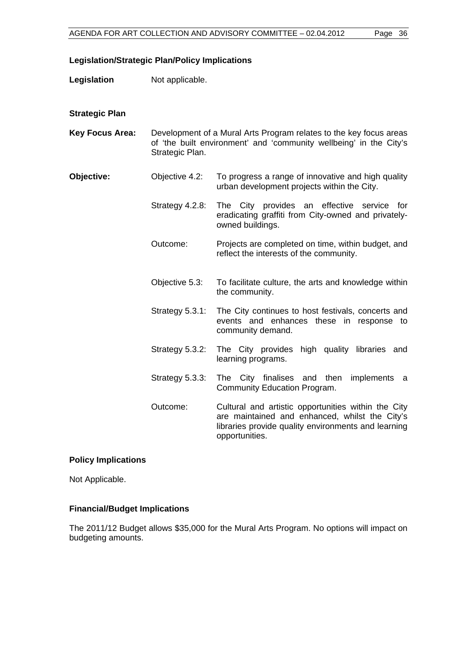#### **Legislation/Strategic Plan/Policy Implications**

**Legislation** Not applicable.

#### **Strategic Plan**

- **Key Focus Area:** Development of a Mural Arts Program relates to the key focus areas of 'the built environment' and 'community wellbeing' in the City's Strategic Plan.
- **Objective:** Objective 4.2: To progress a range of innovative and high quality urban development projects within the City.
	- Strategy 4.2.8:The City provides an effective service for eradicating graffiti from City-owned and privatelyowned buildings.
	- Outcome: Projects are completed on time, within budget, and reflect the interests of the community.
	- Objective 5.3: To facilitate culture, the arts and knowledge within the community.
	- Strategy 5.3.1:The City continues to host festivals, concerts and events and enhances these in response to community demand.
	- Strategy 5.3.2: The City provides high quality libraries and learning programs.
	- Strategy 5.3.3: The City finalises and then implements a Community Education Program.
	- Outcome: Cultural and artistic opportunities within the City are maintained and enhanced, whilst the City's libraries provide quality environments and learning opportunities.

#### **Policy Implications**

Not Applicable.

#### **Financial/Budget Implications**

The 2011/12 Budget allows \$35,000 for the Mural Arts Program. No options will impact on budgeting amounts.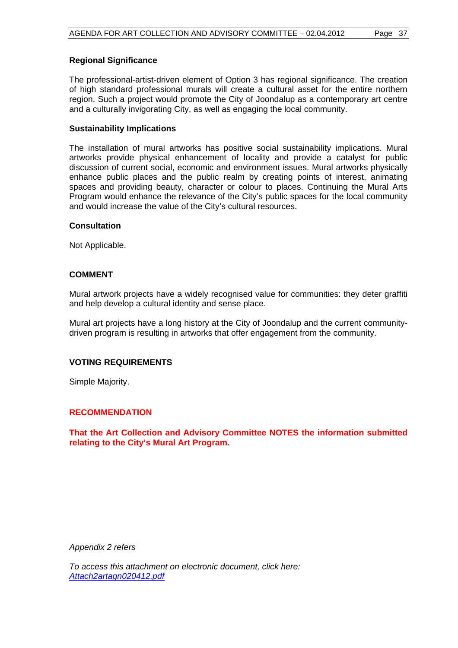#### **Regional Significance**

The professional-artist-driven element of Option 3 has regional significance. The creation of high standard professional murals will create a cultural asset for the entire northern region. Such a project would promote the City of Joondalup as a contemporary art centre and a culturally invigorating City, as well as engaging the local community.

#### **Sustainability Implications**

The installation of mural artworks has positive social sustainability implications. Mural artworks provide physical enhancement of locality and provide a catalyst for public discussion of current social, economic and environment issues. Mural artworks physically enhance public places and the public realm by creating points of interest, animating spaces and providing beauty, character or colour to places. Continuing the Mural Arts Program would enhance the relevance of the City's public spaces for the local community and would increase the value of the City's cultural resources.

#### **Consultation**

Not Applicable.

#### **COMMENT**

Mural artwork projects have a widely recognised value for communities: they deter graffiti and help develop a cultural identity and sense place.

Mural art projects have a long history at the City of Joondalup and the current communitydriven program is resulting in artworks that offer engagement from the community.

#### **VOTING REQUIREMENTS**

Simple Majority.

#### **RECOMMENDATION**

**That the Art Collection and Advisory Committee NOTES the information submitted relating to the City's Mural Art Program.** 

*Appendix 2 refers* 

*To access this attachment on electronic document, click here: <Attach2artagn020412.pdf>*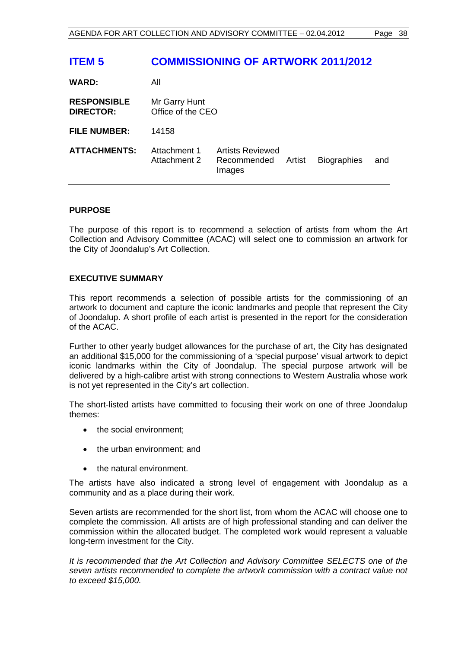## **ITEM 5 COMMISSIONING OF ARTWORK 2011/2012**

| <b>WARD:</b>                           | All                                |                                                  |        |                    |     |
|----------------------------------------|------------------------------------|--------------------------------------------------|--------|--------------------|-----|
| <b>RESPONSIBLE</b><br><b>DIRECTOR:</b> | Mr Garry Hunt<br>Office of the CEO |                                                  |        |                    |     |
| <b>FILE NUMBER:</b>                    | 14158                              |                                                  |        |                    |     |
| <b>ATTACHMENTS:</b>                    | Attachment 1<br>Attachment 2       | <b>Artists Reviewed</b><br>Recommended<br>Images | Artist | <b>Biographies</b> | and |

#### **PURPOSE**

The purpose of this report is to recommend a selection of artists from whom the Art Collection and Advisory Committee (ACAC) will select one to commission an artwork for the City of Joondalup's Art Collection.

#### **EXECUTIVE SUMMARY**

This report recommends a selection of possible artists for the commissioning of an artwork to document and capture the iconic landmarks and people that represent the City of Joondalup. A short profile of each artist is presented in the report for the consideration of the ACAC.

Further to other yearly budget allowances for the purchase of art, the City has designated an additional \$15,000 for the commissioning of a 'special purpose' visual artwork to depict iconic landmarks within the City of Joondalup. The special purpose artwork will be delivered by a high-calibre artist with strong connections to Western Australia whose work is not yet represented in the City's art collection.

The short-listed artists have committed to focusing their work on one of three Joondalup themes:

- the social environment:
- the urban environment; and
- the natural environment.

The artists have also indicated a strong level of engagement with Joondalup as a community and as a place during their work.

Seven artists are recommended for the short list, from whom the ACAC will choose one to complete the commission. All artists are of high professional standing and can deliver the commission within the allocated budget. The completed work would represent a valuable long-term investment for the City.

*It is recommended that the Art Collection and Advisory Committee SELECTS one of the seven artists recommended to complete the artwork commission with a contract value not to exceed \$15,000.*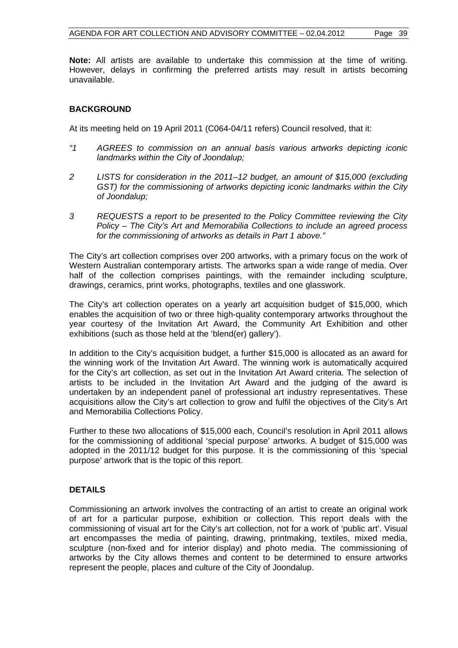**Note:** All artists are available to undertake this commission at the time of writing. However, delays in confirming the preferred artists may result in artists becoming unavailable.

#### **BACKGROUND**

At its meeting held on 19 April 2011 (C064-04/11 refers) Council resolved, that it:

- *"1 AGREES to commission on an annual basis various artworks depicting iconic landmarks within the City of Joondalup;*
- *2 LISTS for consideration in the 2011–12 budget, an amount of \$15,000 (excluding GST) for the commissioning of artworks depicting iconic landmarks within the City of Joondalup;*
- *3 REQUESTS a report to be presented to the Policy Committee reviewing the City Policy – The City's Art and Memorabilia Collections to include an agreed process for the commissioning of artworks as details in Part 1 above."*

The City's art collection comprises over 200 artworks, with a primary focus on the work of Western Australian contemporary artists. The artworks span a wide range of media. Over half of the collection comprises paintings, with the remainder including sculpture, drawings, ceramics, print works, photographs, textiles and one glasswork.

The City's art collection operates on a yearly art acquisition budget of \$15,000, which enables the acquisition of two or three high-quality contemporary artworks throughout the year courtesy of the Invitation Art Award, the Community Art Exhibition and other exhibitions (such as those held at the 'blend(er) gallery').

In addition to the City's acquisition budget, a further \$15,000 is allocated as an award for the winning work of the Invitation Art Award. The winning work is automatically acquired for the City's art collection, as set out in the Invitation Art Award criteria. The selection of artists to be included in the Invitation Art Award and the judging of the award is undertaken by an independent panel of professional art industry representatives. These acquisitions allow the City's art collection to grow and fulfil the objectives of the City's Art and Memorabilia Collections Policy.

Further to these two allocations of \$15,000 each, Council's resolution in April 2011 allows for the commissioning of additional 'special purpose' artworks. A budget of \$15,000 was adopted in the 2011/12 budget for this purpose. It is the commissioning of this 'special purpose' artwork that is the topic of this report.

#### **DETAILS**

Commissioning an artwork involves the contracting of an artist to create an original work of art for a particular purpose, exhibition or collection. This report deals with the commissioning of visual art for the City's art collection, not for a work of 'public art'. Visual art encompasses the media of painting, drawing, printmaking, textiles, mixed media, sculpture (non-fixed and for interior display) and photo media. The commissioning of artworks by the City allows themes and content to be determined to ensure artworks represent the people, places and culture of the City of Joondalup.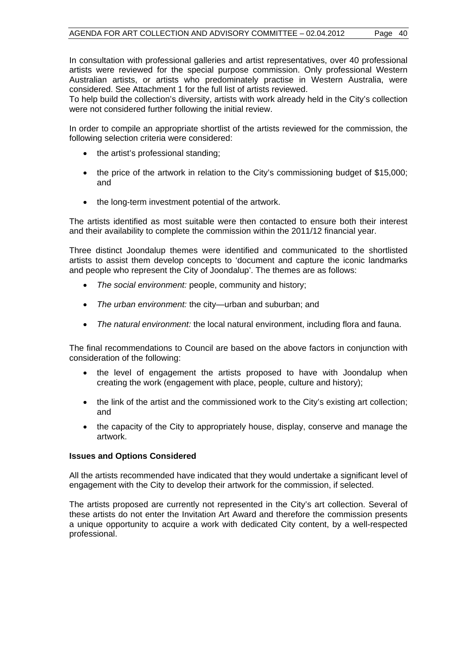In consultation with professional galleries and artist representatives, over 40 professional artists were reviewed for the special purpose commission. Only professional Western Australian artists, or artists who predominately practise in Western Australia, were considered. See Attachment 1 for the full list of artists reviewed.

To help build the collection's diversity, artists with work already held in the City's collection were not considered further following the initial review.

In order to compile an appropriate shortlist of the artists reviewed for the commission, the following selection criteria were considered:

- the artist's professional standing;
- the price of the artwork in relation to the City's commissioning budget of \$15,000; and
- the long-term investment potential of the artwork.

The artists identified as most suitable were then contacted to ensure both their interest and their availability to complete the commission within the 2011/12 financial year.

Three distinct Joondalup themes were identified and communicated to the shortlisted artists to assist them develop concepts to 'document and capture the iconic landmarks and people who represent the City of Joondalup'. The themes are as follows:

- *The social environment:* people, community and history;
- *The urban environment:* the city—urban and suburban; and
- *The natural environment:* the local natural environment, including flora and fauna.

The final recommendations to Council are based on the above factors in conjunction with consideration of the following:

- the level of engagement the artists proposed to have with Joondalup when creating the work (engagement with place, people, culture and history);
- the link of the artist and the commissioned work to the City's existing art collection; and
- the capacity of the City to appropriately house, display, conserve and manage the artwork.

#### **Issues and Options Considered**

All the artists recommended have indicated that they would undertake a significant level of engagement with the City to develop their artwork for the commission, if selected.

The artists proposed are currently not represented in the City's art collection. Several of these artists do not enter the Invitation Art Award and therefore the commission presents a unique opportunity to acquire a work with dedicated City content, by a well-respected professional.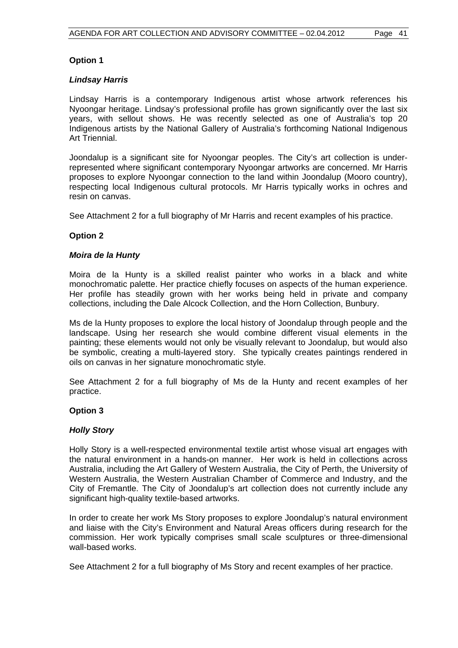#### **Option 1**

#### *Lindsay Harris*

Lindsay Harris is a contemporary Indigenous artist whose artwork references his Nyoongar heritage. Lindsay's professional profile has grown significantly over the last six years, with sellout shows. He was recently selected as one of Australia's top 20 Indigenous artists by the National Gallery of Australia's forthcoming National Indigenous Art Triennial.

Joondalup is a significant site for Nyoongar peoples. The City's art collection is underrepresented where significant contemporary Nyoongar artworks are concerned. Mr Harris proposes to explore Nyoongar connection to the land within Joondalup (Mooro country), respecting local Indigenous cultural protocols. Mr Harris typically works in ochres and resin on canvas.

See Attachment 2 for a full biography of Mr Harris and recent examples of his practice.

#### **Option 2**

#### *Moira de la Hunty*

Moira de la Hunty is a skilled realist painter who works in a black and white monochromatic palette. Her practice chiefly focuses on aspects of the human experience. Her profile has steadily grown with her works being held in private and company collections, including the Dale Alcock Collection, and the Horn Collection, Bunbury.

Ms de la Hunty proposes to explore the local history of Joondalup through people and the landscape. Using her research she would combine different visual elements in the painting; these elements would not only be visually relevant to Joondalup, but would also be symbolic, creating a multi-layered story. She typically creates paintings rendered in oils on canvas in her signature monochromatic style.

See Attachment 2 for a full biography of Ms de la Hunty and recent examples of her practice.

#### **Option 3**

#### *Holly Story*

Holly Story is a well-respected environmental textile artist whose visual art engages with the natural environment in a hands-on manner. Her work is held in collections across Australia, including the Art Gallery of Western Australia, the City of Perth, the University of Western Australia, the Western Australian Chamber of Commerce and Industry, and the City of Fremantle. The City of Joondalup's art collection does not currently include any significant high-quality textile-based artworks.

In order to create her work Ms Story proposes to explore Joondalup's natural environment and liaise with the City's Environment and Natural Areas officers during research for the commission. Her work typically comprises small scale sculptures or three-dimensional wall-based works.

See Attachment 2 for a full biography of Ms Story and recent examples of her practice.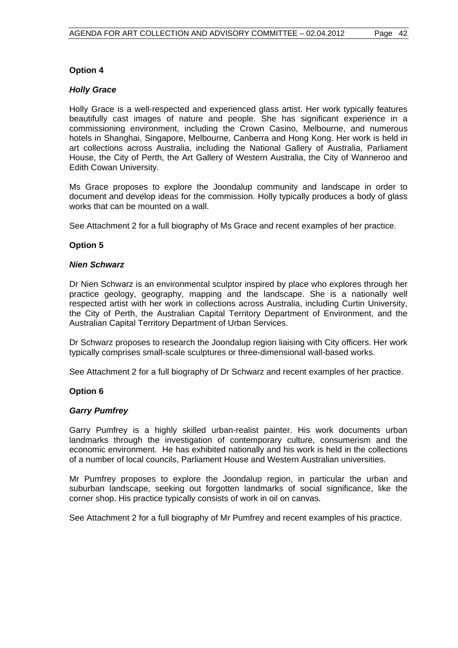#### **Option 4**

#### *Holly Grace*

Holly Grace is a well-respected and experienced glass artist. Her work typically features beautifully cast images of nature and people. She has significant experience in a commissioning environment, including the Crown Casino, Melbourne, and numerous hotels in Shanghai, Singapore, Melbourne, Canberra and Hong Kong. Her work is held in art collections across Australia, including the National Gallery of Australia, Parliament House, the City of Perth, the Art Gallery of Western Australia, the City of Wanneroo and Edith Cowan University.

Ms Grace proposes to explore the Joondalup community and landscape in order to document and develop ideas for the commission. Holly typically produces a body of glass works that can be mounted on a wall.

See Attachment 2 for a full biography of Ms Grace and recent examples of her practice.

#### **Option 5**

#### *Nien Schwarz*

Dr Nien Schwarz is an environmental sculptor inspired by place who explores through her practice geology, geography, mapping and the landscape. She is a nationally well respected artist with her work in collections across Australia, including Curtin University, the City of Perth, the Australian Capital Territory Department of Environment, and the Australian Capital Territory Department of Urban Services.

Dr Schwarz proposes to research the Joondalup region liaising with City officers. Her work typically comprises small-scale sculptures or three-dimensional wall-based works.

See Attachment 2 for a full biography of Dr Schwarz and recent examples of her practice.

#### **Option 6**

#### *Garry Pumfrey*

Garry Pumfrey is a highly skilled urban-realist painter. His work documents urban landmarks through the investigation of contemporary culture, consumerism and the economic environment. He has exhibited nationally and his work is held in the collections of a number of local councils, Parliament House and Western Australian universities.

Mr Pumfrey proposes to explore the Joondalup region, in particular the urban and suburban landscape, seeking out forgotten landmarks of social significance, like the corner shop. His practice typically consists of work in oil on canvas.

See Attachment 2 for a full biography of Mr Pumfrey and recent examples of his practice.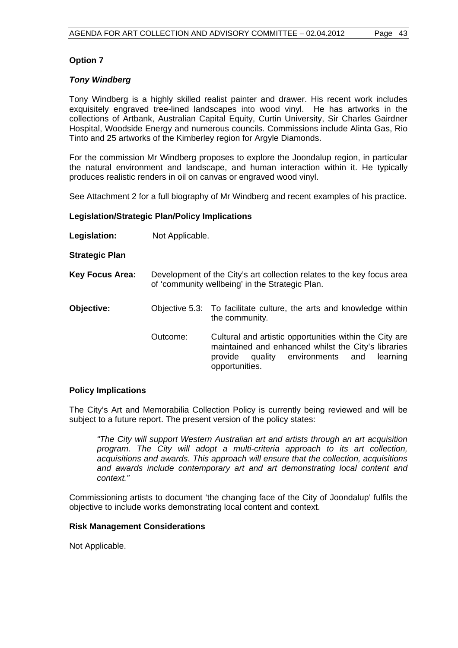#### **Option 7**

#### *Tony Windberg*

Tony Windberg is a highly skilled realist painter and drawer. His recent work includes exquisitely engraved tree-lined landscapes into wood vinyl. He has artworks in the collections of Artbank, Australian Capital Equity, Curtin University, Sir Charles Gairdner Hospital, Woodside Energy and numerous councils. Commissions include Alinta Gas, Rio Tinto and 25 artworks of the Kimberley region for Argyle Diamonds.

For the commission Mr Windberg proposes to explore the Joondalup region, in particular the natural environment and landscape, and human interaction within it. He typically produces realistic renders in oil on canvas or engraved wood vinyl.

See Attachment 2 for a full biography of Mr Windberg and recent examples of his practice.

#### **Legislation/Strategic Plan/Policy Implications**

**Legislation:** Not Applicable.

**Strategic Plan** 

- **Key Focus Area:** Development of the City's art collection relates to the key focus area of 'community wellbeing' in the Strategic Plan.
- **Objective:** Objective 5.3: To facilitate culture, the arts and knowledge within the community*.* 
	- Outcome:Cultural and artistic opportunities within the City are maintained and enhanced whilst the City's libraries provide quality environments and learning opportunities.

#### **Policy Implications**

The City's Art and Memorabilia Collection Policy is currently being reviewed and will be subject to a future report. The present version of the policy states:

*"The City will support Western Australian art and artists through an art acquisition program. The City will adopt a multi-criteria approach to its art collection, acquisitions and awards. This approach will ensure that the collection, acquisitions and awards include contemporary art and art demonstrating local content and context."* 

Commissioning artists to document 'the changing face of the City of Joondalup' fulfils the objective to include works demonstrating local content and context.

#### **Risk Management Considerations**

Not Applicable.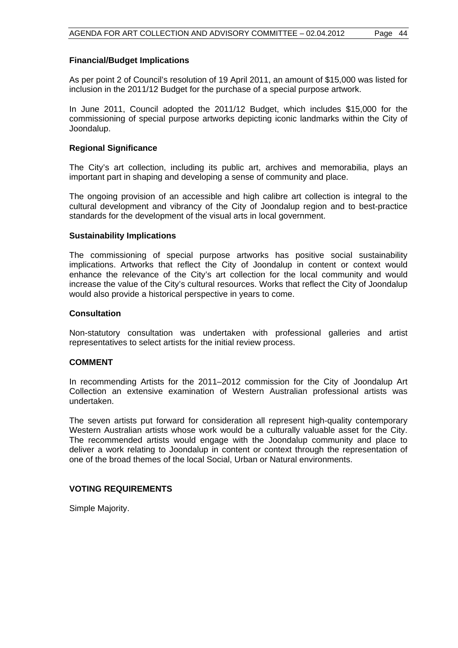#### **Financial/Budget Implications**

As per point 2 of Council's resolution of 19 April 2011, an amount of \$15,000 was listed for inclusion in the 2011/12 Budget for the purchase of a special purpose artwork.

In June 2011, Council adopted the 2011/12 Budget, which includes \$15,000 for the commissioning of special purpose artworks depicting iconic landmarks within the City of Joondalup.

#### **Regional Significance**

The City's art collection, including its public art, archives and memorabilia, plays an important part in shaping and developing a sense of community and place.

The ongoing provision of an accessible and high calibre art collection is integral to the cultural development and vibrancy of the City of Joondalup region and to best-practice standards for the development of the visual arts in local government.

#### **Sustainability Implications**

The commissioning of special purpose artworks has positive social sustainability implications. Artworks that reflect the City of Joondalup in content or context would enhance the relevance of the City's art collection for the local community and would increase the value of the City's cultural resources. Works that reflect the City of Joondalup would also provide a historical perspective in years to come.

#### **Consultation**

Non-statutory consultation was undertaken with professional galleries and artist representatives to select artists for the initial review process.

#### **COMMENT**

In recommending Artists for the 2011–2012 commission for the City of Joondalup Art Collection an extensive examination of Western Australian professional artists was undertaken.

The seven artists put forward for consideration all represent high-quality contemporary Western Australian artists whose work would be a culturally valuable asset for the City. The recommended artists would engage with the Joondalup community and place to deliver a work relating to Joondalup in content or context through the representation of one of the broad themes of the local Social, Urban or Natural environments.

#### **VOTING REQUIREMENTS**

Simple Majority.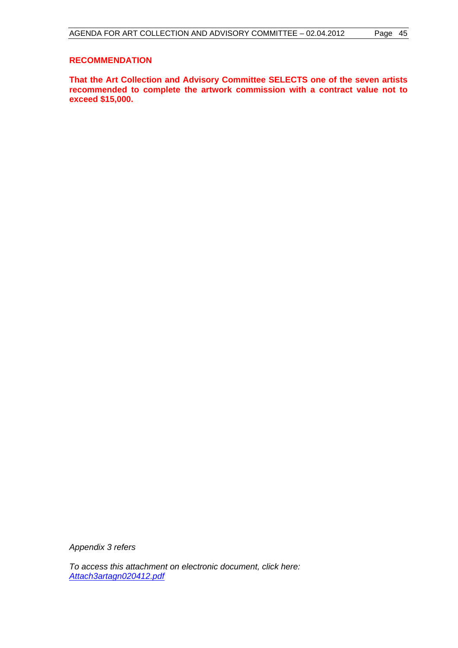#### **RECOMMENDATION**

**That the Art Collection and Advisory Committee SELECTS one of the seven artists recommended to complete the artwork commission with a contract value not to exceed \$15,000.** 

*Appendix 3 refers* 

*To access this attachment on electronic document, click here: <Attach3artagn020412.pdf>*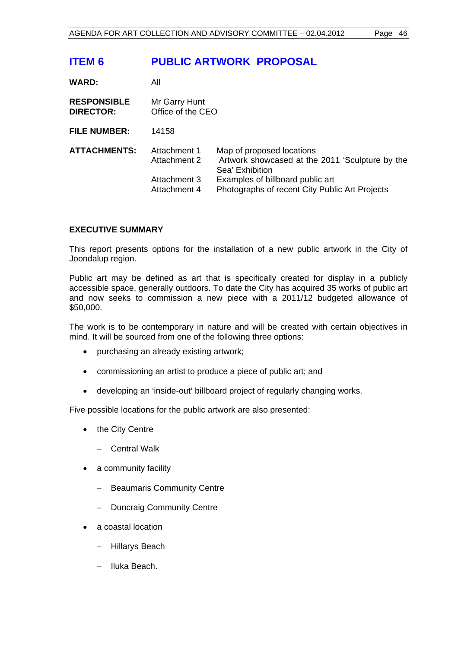## **ITEM 6 PUBLIC ARTWORK PROPOSAL**

| <b>WARD:</b>                           | All                                                          |                                                                                                                                                                                       |  |
|----------------------------------------|--------------------------------------------------------------|---------------------------------------------------------------------------------------------------------------------------------------------------------------------------------------|--|
| <b>RESPONSIBLE</b><br><b>DIRECTOR:</b> | Mr Garry Hunt<br>Office of the CEO                           |                                                                                                                                                                                       |  |
| <b>FILE NUMBER:</b>                    | 14158                                                        |                                                                                                                                                                                       |  |
| <b>ATTACHMENTS:</b>                    | Attachment 1<br>Attachment 2<br>Attachment 3<br>Attachment 4 | Map of proposed locations<br>Artwork showcased at the 2011 'Sculpture by the<br>Sea' Exhibition<br>Examples of billboard public art<br>Photographs of recent City Public Art Projects |  |

#### **EXECUTIVE SUMMARY**

This report presents options for the installation of a new public artwork in the City of Joondalup region.

Public art may be defined as art that is specifically created for display in a publicly accessible space, generally outdoors. To date the City has acquired 35 works of public art and now seeks to commission a new piece with a 2011/12 budgeted allowance of \$50,000.

The work is to be contemporary in nature and will be created with certain objectives in mind. It will be sourced from one of the following three options:

- purchasing an already existing artwork:
- commissioning an artist to produce a piece of public art; and
- developing an 'inside-out' billboard project of regularly changing works.

Five possible locations for the public artwork are also presented:

- the City Centre
	- Central Walk
- a community facility
	- Beaumaris Community Centre
	- Duncraig Community Centre
- a coastal location
	- Hillarys Beach
	- $-$  Iluka Beach.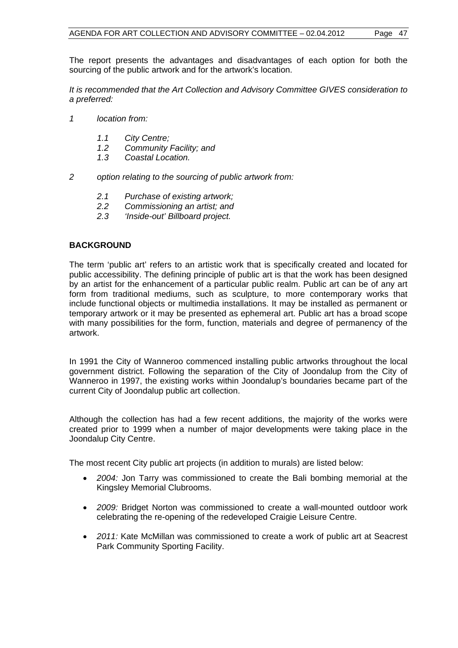The report presents the advantages and disadvantages of each option for both the sourcing of the public artwork and for the artwork's location.

*It is recommended that the Art Collection and Advisory Committee GIVES consideration to a preferred:* 

- *1 location from:* 
	- *1.1 City Centre;*
	- *1.2 Community Facility; and*
	- *1.3 Coastal Location.*
- *2 option relating to the sourcing of public artwork from:* 
	- *2.1 Purchase of existing artwork;*
	- *2.2 Commissioning an artist; and*
	- *2.3 'Inside-out' Billboard project.*

#### **BACKGROUND**

The term 'public art' refers to an artistic work that is specifically created and located for public accessibility. The defining principle of public art is that the work has been designed by an artist for the enhancement of a particular public realm. Public art can be of any art form from traditional mediums, such as sculpture, to more contemporary works that include functional objects or multimedia installations. It may be installed as permanent or temporary artwork or it may be presented as ephemeral art. Public art has a broad scope with many possibilities for the form, function, materials and degree of permanency of the artwork.

In 1991 the City of Wanneroo commenced installing public artworks throughout the local government district. Following the separation of the City of Joondalup from the City of Wanneroo in 1997, the existing works within Joondalup's boundaries became part of the current City of Joondalup public art collection.

Although the collection has had a few recent additions, the majority of the works were created prior to 1999 when a number of major developments were taking place in the Joondalup City Centre.

The most recent City public art projects (in addition to murals) are listed below:

- *2004:* Jon Tarry was commissioned to create the Bali bombing memorial at the Kingsley Memorial Clubrooms.
- *2009:* Bridget Norton was commissioned to create a wall-mounted outdoor work celebrating the re-opening of the redeveloped Craigie Leisure Centre.
- *2011:* Kate McMillan was commissioned to create a work of public art at Seacrest Park Community Sporting Facility.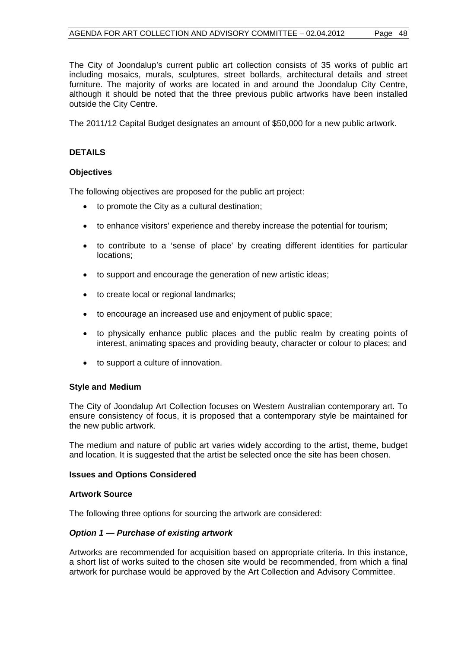The City of Joondalup's current public art collection consists of 35 works of public art including mosaics, murals, sculptures, street bollards, architectural details and street furniture. The majority of works are located in and around the Joondalup City Centre, although it should be noted that the three previous public artworks have been installed outside the City Centre.

The 2011/12 Capital Budget designates an amount of \$50,000 for a new public artwork.

#### **DETAILS**

#### **Objectives**

The following objectives are proposed for the public art project:

- to promote the City as a cultural destination;
- to enhance visitors' experience and thereby increase the potential for tourism;
- to contribute to a 'sense of place' by creating different identities for particular locations;
- to support and encourage the generation of new artistic ideas;
- to create local or regional landmarks;
- to encourage an increased use and enjoyment of public space;
- to physically enhance public places and the public realm by creating points of interest, animating spaces and providing beauty, character or colour to places; and
- to support a culture of innovation.

#### **Style and Medium**

The City of Joondalup Art Collection focuses on Western Australian contemporary art. To ensure consistency of focus, it is proposed that a contemporary style be maintained for the new public artwork.

The medium and nature of public art varies widely according to the artist, theme, budget and location. It is suggested that the artist be selected once the site has been chosen.

#### **Issues and Options Considered**

#### **Artwork Source**

The following three options for sourcing the artwork are considered:

#### *Option 1 — Purchase of existing artwork*

Artworks are recommended for acquisition based on appropriate criteria. In this instance, a short list of works suited to the chosen site would be recommended, from which a final artwork for purchase would be approved by the Art Collection and Advisory Committee.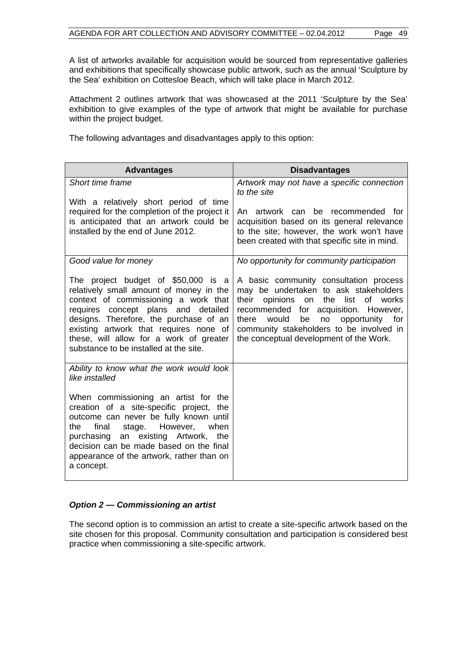A list of artworks available for acquisition would be sourced from representative galleries and exhibitions that specifically showcase public artwork, such as the annual 'Sculpture by the Sea' exhibition on Cottesloe Beach, which will take place in March 2012.

Attachment 2 outlines artwork that was showcased at the 2011 'Sculpture by the Sea' exhibition to give examples of the type of artwork that might be available for purchase within the project budget.

The following advantages and disadvantages apply to this option:

| <b>Advantages</b>                                                                                                                                                                                                                                                                                                                      | <b>Disadvantages</b>                                                                                                                                                                                                                                                                                                      |
|----------------------------------------------------------------------------------------------------------------------------------------------------------------------------------------------------------------------------------------------------------------------------------------------------------------------------------------|---------------------------------------------------------------------------------------------------------------------------------------------------------------------------------------------------------------------------------------------------------------------------------------------------------------------------|
| Short time frame                                                                                                                                                                                                                                                                                                                       | Artwork may not have a specific connection<br>to the site                                                                                                                                                                                                                                                                 |
| With a relatively short period of time<br>required for the completion of the project it<br>is anticipated that an artwork could be<br>installed by the end of June 2012.                                                                                                                                                               | An artwork can be recommended for<br>acquisition based on its general relevance<br>to the site; however, the work won't have<br>been created with that specific site in mind.                                                                                                                                             |
| Good value for money                                                                                                                                                                                                                                                                                                                   | No opportunity for community participation                                                                                                                                                                                                                                                                                |
| The project budget of \$50,000 is a<br>relatively small amount of money in the<br>context of commissioning a work that<br>requires concept plans and detailed<br>designs. Therefore, the purchase of an<br>existing artwork that requires none of<br>these, will allow for a work of greater<br>substance to be installed at the site. | A basic community consultation process<br>may be undertaken to ask stakeholders<br>list<br>their<br>opinions<br>the<br>of<br>works<br>on<br>recommended for acquisition. However,<br>there<br>would<br>be<br>no<br>opportunity for<br>community stakeholders to be involved in<br>the conceptual development of the Work. |
| Ability to know what the work would look<br>like installed                                                                                                                                                                                                                                                                             |                                                                                                                                                                                                                                                                                                                           |
| When commissioning an artist for the<br>creation of a site-specific project, the<br>outcome can never be fully known until<br>final<br>However,<br>when<br>the<br>stage.<br>existing Artwork,<br>purchasing an<br>the<br>decision can be made based on the final<br>appearance of the artwork, rather than on<br>a concept.            |                                                                                                                                                                                                                                                                                                                           |

#### *Option 2 — Commissioning an artist*

The second option is to commission an artist to create a site-specific artwork based on the site chosen for this proposal. Community consultation and participation is considered best practice when commissioning a site-specific artwork.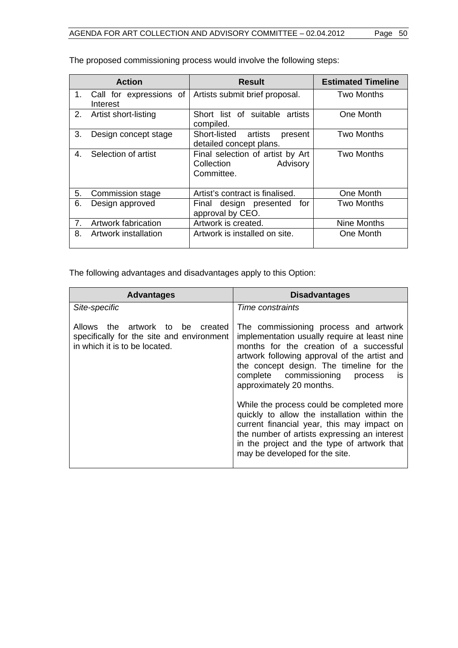|    | <b>Action</b>                       | <b>Result</b>                                                            | <b>Estimated Timeline</b> |
|----|-------------------------------------|--------------------------------------------------------------------------|---------------------------|
| 1. | Call for expressions of<br>Interest | Artists submit brief proposal.                                           | Two Months                |
| 2. | Artist short-listing                | Short list of suitable artists<br>compiled.                              | One Month                 |
| 3. | Design concept stage                | Short-listed artists<br>present<br>detailed concept plans.               | <b>Two Months</b>         |
| 4. | Selection of artist                 | Final selection of artist by Art<br>Collection<br>Advisory<br>Committee. | Two Months                |
| 5. | Commission stage                    | Artist's contract is finalised.                                          | One Month                 |
| 6. | Design approved                     | Final design presented<br>for<br>approval by CEO.                        | Two Months                |
| 7. | Artwork fabrication                 | Artwork is created.                                                      | Nine Months               |
| 8. | Artwork installation                | Artwork is installed on site.                                            | One Month                 |

The proposed commissioning process would involve the following steps:

The following advantages and disadvantages apply to this Option:

| <b>Advantages</b>                                                                                                 | <b>Disadvantages</b>                                                                                                                                                                                                                                                                                 |
|-------------------------------------------------------------------------------------------------------------------|------------------------------------------------------------------------------------------------------------------------------------------------------------------------------------------------------------------------------------------------------------------------------------------------------|
| Site-specific                                                                                                     | Time constraints                                                                                                                                                                                                                                                                                     |
| the artwork to be created<br>Allows<br>specifically for the site and environment<br>in which it is to be located. | The commissioning process and artwork<br>implementation usually require at least nine<br>months for the creation of a successful<br>artwork following approval of the artist and<br>the concept design. The timeline for the<br>complete commissioning<br>process<br>is.<br>approximately 20 months. |
|                                                                                                                   | While the process could be completed more<br>quickly to allow the installation within the<br>current financial year, this may impact on<br>the number of artists expressing an interest<br>in the project and the type of artwork that<br>may be developed for the site.                             |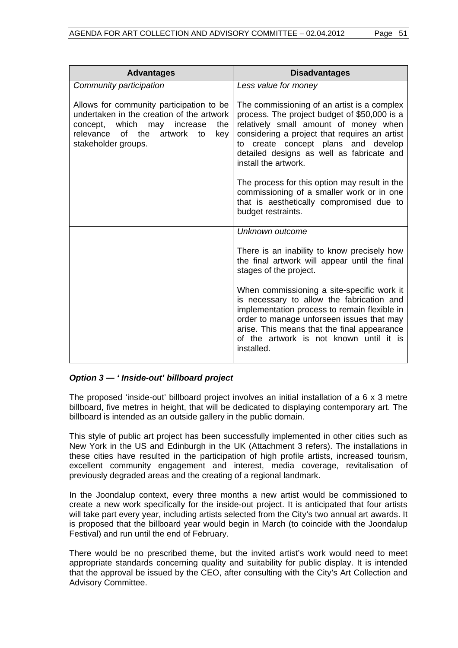| <b>Advantages</b>                                                                                                                                                                                 | <b>Disadvantages</b>                                                                                                                                                                                                                                                                                 |
|---------------------------------------------------------------------------------------------------------------------------------------------------------------------------------------------------|------------------------------------------------------------------------------------------------------------------------------------------------------------------------------------------------------------------------------------------------------------------------------------------------------|
| Community participation                                                                                                                                                                           | Less value for money                                                                                                                                                                                                                                                                                 |
| Allows for community participation to be<br>undertaken in the creation of the artwork<br>concept, which may increase<br>the<br>relevance<br>of the<br>artwork<br>key<br>to<br>stakeholder groups. | The commissioning of an artist is a complex<br>process. The project budget of \$50,000 is a<br>relatively small amount of money when<br>considering a project that requires an artist<br>create concept plans and develop<br>to<br>detailed designs as well as fabricate and<br>install the artwork. |
|                                                                                                                                                                                                   | The process for this option may result in the<br>commissioning of a smaller work or in one<br>that is aesthetically compromised due to<br>budget restraints.                                                                                                                                         |
|                                                                                                                                                                                                   | Unknown outcome                                                                                                                                                                                                                                                                                      |
|                                                                                                                                                                                                   | There is an inability to know precisely how<br>the final artwork will appear until the final<br>stages of the project.                                                                                                                                                                               |
|                                                                                                                                                                                                   | When commissioning a site-specific work it<br>is necessary to allow the fabrication and<br>implementation process to remain flexible in<br>order to manage unforseen issues that may<br>arise. This means that the final appearance<br>of the artwork is not known until it is<br>installed.         |

### *Option 3 — ' Inside-out' billboard project*

The proposed 'inside-out' billboard project involves an initial installation of a 6 x 3 metre billboard, five metres in height, that will be dedicated to displaying contemporary art. The billboard is intended as an outside gallery in the public domain.

This style of public art project has been successfully implemented in other cities such as New York in the US and Edinburgh in the UK (Attachment 3 refers). The installations in these cities have resulted in the participation of high profile artists, increased tourism, excellent community engagement and interest, media coverage, revitalisation of previously degraded areas and the creating of a regional landmark.

In the Joondalup context, every three months a new artist would be commissioned to create a new work specifically for the inside-out project. It is anticipated that four artists will take part every year, including artists selected from the City's two annual art awards. It is proposed that the billboard year would begin in March (to coincide with the Joondalup Festival) and run until the end of February.

There would be no prescribed theme, but the invited artist's work would need to meet appropriate standards concerning quality and suitability for public display. It is intended that the approval be issued by the CEO, after consulting with the City's Art Collection and Advisory Committee.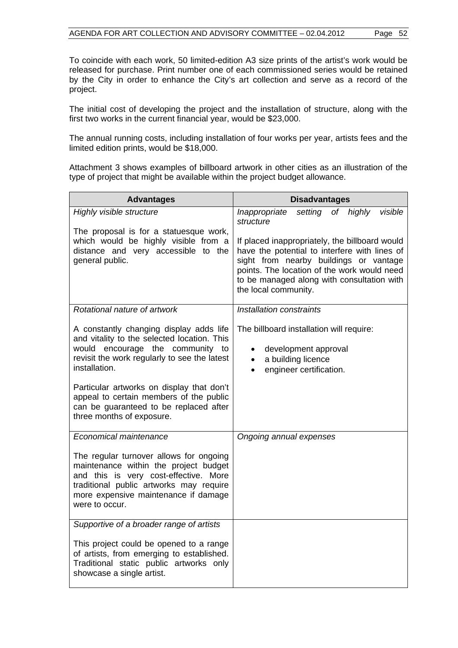To coincide with each work, 50 limited-edition A3 size prints of the artist's work would be released for purchase. Print number one of each commissioned series would be retained by the City in order to enhance the City's art collection and serve as a record of the project.

The initial cost of developing the project and the installation of structure, along with the first two works in the current financial year, would be \$23,000.

The annual running costs, including installation of four works per year, artists fees and the limited edition prints, would be \$18,000.

Attachment 3 shows examples of billboard artwork in other cities as an illustration of the type of project that might be available within the project budget allowance.

| <b>Advantages</b>                                                                                                                                                                                                              | <b>Disadvantages</b>                                                                                                                                                                                                                                           |  |  |
|--------------------------------------------------------------------------------------------------------------------------------------------------------------------------------------------------------------------------------|----------------------------------------------------------------------------------------------------------------------------------------------------------------------------------------------------------------------------------------------------------------|--|--|
| Highly visible structure                                                                                                                                                                                                       | visible<br>Inappropriate<br>setting of highly<br>structure                                                                                                                                                                                                     |  |  |
| The proposal is for a statuesque work,<br>which would be highly visible from a<br>distance and very accessible to the<br>general public.                                                                                       | If placed inappropriately, the billboard would<br>have the potential to interfere with lines of<br>sight from nearby buildings or vantage<br>points. The location of the work would need<br>to be managed along with consultation with<br>the local community. |  |  |
| Rotational nature of artwork                                                                                                                                                                                                   | Installation constraints                                                                                                                                                                                                                                       |  |  |
| A constantly changing display adds life<br>and vitality to the selected location. This<br>would encourage the community to<br>revisit the work regularly to see the latest<br>installation.                                    | The billboard installation will require:<br>development approval<br>a building licence<br>$\bullet$<br>engineer certification.<br>$\bullet$                                                                                                                    |  |  |
| Particular artworks on display that don't<br>appeal to certain members of the public<br>can be guaranteed to be replaced after<br>three months of exposure.                                                                    |                                                                                                                                                                                                                                                                |  |  |
| Economical maintenance                                                                                                                                                                                                         | Ongoing annual expenses                                                                                                                                                                                                                                        |  |  |
| The regular turnover allows for ongoing<br>maintenance within the project budget<br>and this is very cost-effective. More<br>traditional public artworks may require<br>more expensive maintenance if damage<br>were to occur. |                                                                                                                                                                                                                                                                |  |  |
| Supportive of a broader range of artists                                                                                                                                                                                       |                                                                                                                                                                                                                                                                |  |  |
| This project could be opened to a range<br>of artists, from emerging to established.<br>Traditional static public artworks only<br>showcase a single artist.                                                                   |                                                                                                                                                                                                                                                                |  |  |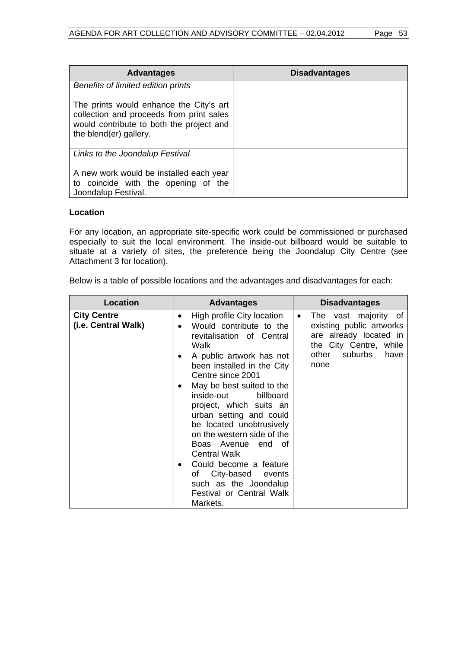| <b>Advantages</b>                                                                                                                                         | <b>Disadvantages</b> |
|-----------------------------------------------------------------------------------------------------------------------------------------------------------|----------------------|
| Benefits of limited edition prints                                                                                                                        |                      |
| The prints would enhance the City's art<br>collection and proceeds from print sales<br>would contribute to both the project and<br>the blend(er) gallery. |                      |
| Links to the Joondalup Festival                                                                                                                           |                      |
| A new work would be installed each year<br>to coincide with the opening of the<br>Joondalup Festival.                                                     |                      |

#### **Location**

For any location, an appropriate site-specific work could be commissioned or purchased especially to suit the local environment. The inside-out billboard would be suitable to situate at a variety of sites, the preference being the Joondalup City Centre (see Attachment 3 for location).

Below is a table of possible locations and the advantages and disadvantages for each:

| <b>Location</b>                           | <b>Advantages</b>                                                                                                                                                                                                                                                                                                                                                                                                                                                                                             | <b>Disadvantages</b>                                                                                                                                  |
|-------------------------------------------|---------------------------------------------------------------------------------------------------------------------------------------------------------------------------------------------------------------------------------------------------------------------------------------------------------------------------------------------------------------------------------------------------------------------------------------------------------------------------------------------------------------|-------------------------------------------------------------------------------------------------------------------------------------------------------|
| <b>City Centre</b><br>(i.e. Central Walk) | High profile City location<br>$\bullet$<br>Would contribute to the<br>$\bullet$<br>revitalisation of Central<br>Walk<br>A public artwork has not<br>٠<br>been installed in the City<br>Centre since 2001<br>May be best suited to the<br>٠<br>inside-out<br>billboard<br>project, which suits an<br>urban setting and could<br>be located unobtrusively<br>on the western side of the<br>Boas Avenue end of<br><b>Central Walk</b><br>Could become a feature<br>of City-based events<br>such as the Joondalup | The vast majority of<br>$\bullet$<br>existing public artworks<br>are already located in<br>the City Centre, while<br>suburbs<br>other<br>have<br>none |
|                                           | <b>Festival or Central Walk</b><br>Markets.                                                                                                                                                                                                                                                                                                                                                                                                                                                                   |                                                                                                                                                       |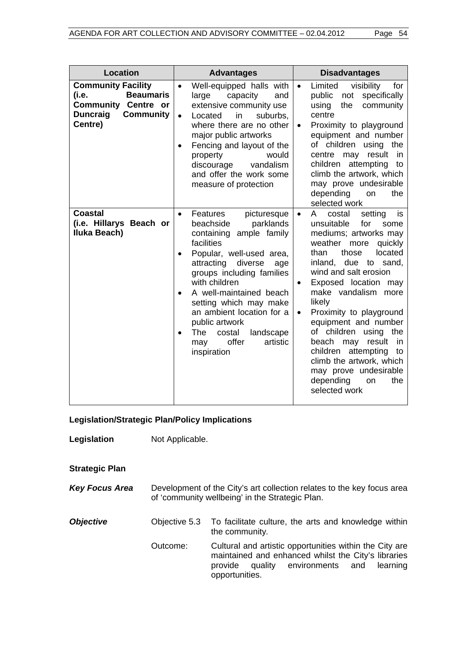| <b>Location</b>                                                                                                                        | <b>Advantages</b>                                                                                                                                                                                                                                                                                                                                                                                                                        | <b>Disadvantages</b>                                                                                                                                                                                                                                                                                                                                                                                                                                                                                                                                      |
|----------------------------------------------------------------------------------------------------------------------------------------|------------------------------------------------------------------------------------------------------------------------------------------------------------------------------------------------------------------------------------------------------------------------------------------------------------------------------------------------------------------------------------------------------------------------------------------|-----------------------------------------------------------------------------------------------------------------------------------------------------------------------------------------------------------------------------------------------------------------------------------------------------------------------------------------------------------------------------------------------------------------------------------------------------------------------------------------------------------------------------------------------------------|
| <b>Community Facility</b><br><b>Beaumaris</b><br>(i.e.<br><b>Community Centre or</b><br><b>Duncraig</b><br><b>Community</b><br>Centre) | Well-equipped halls with<br>$\bullet$<br>large<br>capacity<br>and<br>extensive community use<br>in<br>suburbs.<br>Located<br>$\bullet$<br>where there are no other<br>major public artworks<br>Fencing and layout of the<br>$\bullet$<br>would<br>property<br>vandalism<br>discourage<br>and offer the work some<br>measure of protection                                                                                                | visibility<br>Limited<br>for<br>$\bullet$<br>specifically<br>public<br>not<br>the<br>community<br>using<br>centre<br>Proximity to playground<br>$\bullet$<br>equipment and number<br>of children using the<br>may result<br>in<br>centre<br>attempting<br>children<br>to<br>climb the artwork, which<br>may prove undesirable<br>depending<br>the<br>on<br>selected work                                                                                                                                                                                  |
| <b>Coastal</b><br>(i.e. Hillarys Beach or<br>Iluka Beach)                                                                              | Features<br>picturesque<br>$\bullet$<br>beachside<br>parklands<br>ample family<br>containing<br>facilities<br>Popular, well-used area,<br>$\bullet$<br>attracting<br>diverse<br>age<br>groups including families<br>with children<br>A well-maintained beach<br>$\bullet$<br>setting which may make<br>an ambient location for a<br>public artwork<br>landscape<br>The<br>costal<br>$\bullet$<br>offer<br>artistic<br>may<br>inspiration | setting<br>is<br>costal<br>$\bullet$<br>A<br>unsuitable<br>for<br>some<br>mediums; artworks may<br>weather<br>quickly<br>more<br>located<br>than<br>those<br>inland, due to sand,<br>wind and salt erosion<br>Exposed location may<br>$\bullet$<br>make vandalism<br>more<br>likely<br>Proximity to playground<br>$\bullet$<br>equipment and number<br>of children<br>using<br>the<br>beach<br>may<br>result<br><i>in</i><br>attempting<br>children<br>to<br>climb the artwork, which<br>may prove undesirable<br>depending<br>the<br>on<br>selected work |

**Legislation/Strategic Plan/Policy Implications** 

Legislation **Not Applicable.** 

**Strategic Plan** 

*Key Focus Area* Development of the City's art collection relates to the key focus area of 'community wellbeing' in the Strategic Plan.

**Objective Objective 5.3** To facilitate culture, the arts and knowledge within the community*.*  Outcome:Cultural and artistic opportunities within the City are maintained and enhanced whilst the City's libraries provide quality environments and learning opportunities.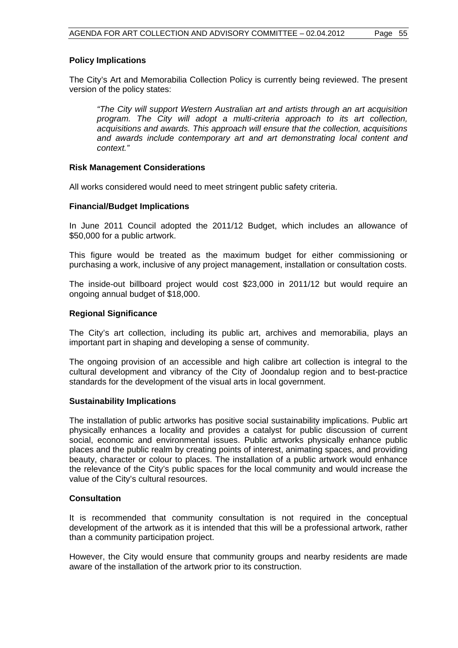#### **Policy Implications**

The City's Art and Memorabilia Collection Policy is currently being reviewed. The present version of the policy states:

*"The City will support Western Australian art and artists through an art acquisition program. The City will adopt a multi-criteria approach to its art collection, acquisitions and awards. This approach will ensure that the collection, acquisitions and awards include contemporary art and art demonstrating local content and context."* 

#### **Risk Management Considerations**

All works considered would need to meet stringent public safety criteria.

#### **Financial/Budget Implications**

In June 2011 Council adopted the 2011/12 Budget, which includes an allowance of \$50,000 for a public artwork.

This figure would be treated as the maximum budget for either commissioning or purchasing a work, inclusive of any project management, installation or consultation costs.

The inside-out billboard project would cost \$23,000 in 2011/12 but would require an ongoing annual budget of \$18,000.

#### **Regional Significance**

The City's art collection, including its public art, archives and memorabilia, plays an important part in shaping and developing a sense of community.

The ongoing provision of an accessible and high calibre art collection is integral to the cultural development and vibrancy of the City of Joondalup region and to best-practice standards for the development of the visual arts in local government.

#### **Sustainability Implications**

The installation of public artworks has positive social sustainability implications. Public art physically enhances a locality and provides a catalyst for public discussion of current social, economic and environmental issues. Public artworks physically enhance public places and the public realm by creating points of interest, animating spaces, and providing beauty, character or colour to places. The installation of a public artwork would enhance the relevance of the City's public spaces for the local community and would increase the value of the City's cultural resources.

#### **Consultation**

It is recommended that community consultation is not required in the conceptual development of the artwork as it is intended that this will be a professional artwork, rather than a community participation project.

However, the City would ensure that community groups and nearby residents are made aware of the installation of the artwork prior to its construction.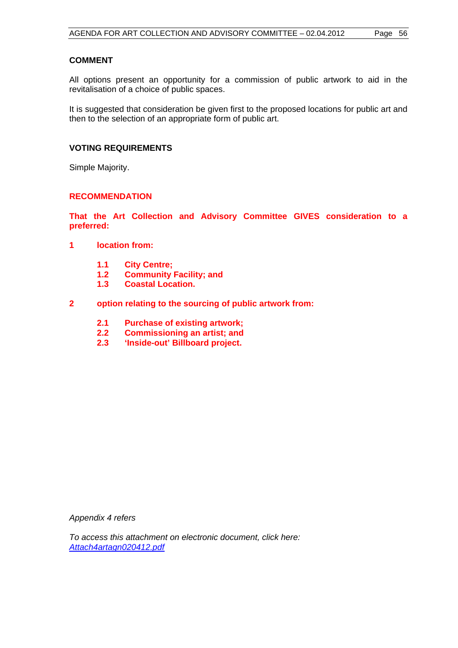#### **COMMENT**

All options present an opportunity for a commission of public artwork to aid in the revitalisation of a choice of public spaces.

It is suggested that consideration be given first to the proposed locations for public art and then to the selection of an appropriate form of public art.

#### **VOTING REQUIREMENTS**

Simple Majority.

#### **RECOMMENDATION**

**That the Art Collection and Advisory Committee GIVES consideration to a preferred:** 

- **1 location from:** 
	- **1.1 City Centre;**
	- **1.2 Community Facility; and**
	- **1.3 Coastal Location.**
- **2 option relating to the sourcing of public artwork from:** 
	- **2.1 Purchase of existing artwork;**
	- **2.2 Commissioning an artist; and**
	- **2.3 'Inside-out' Billboard project.**

*Appendix 4 refers* 

*To access this attachment on electronic document, click here: <Attach4artagn020412.pdf>*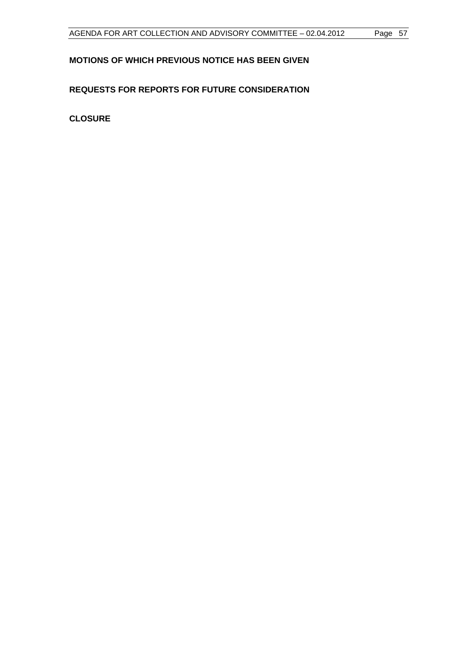## **MOTIONS OF WHICH PREVIOUS NOTICE HAS BEEN GIVEN**

## **REQUESTS FOR REPORTS FOR FUTURE CONSIDERATION**

**CLOSURE**